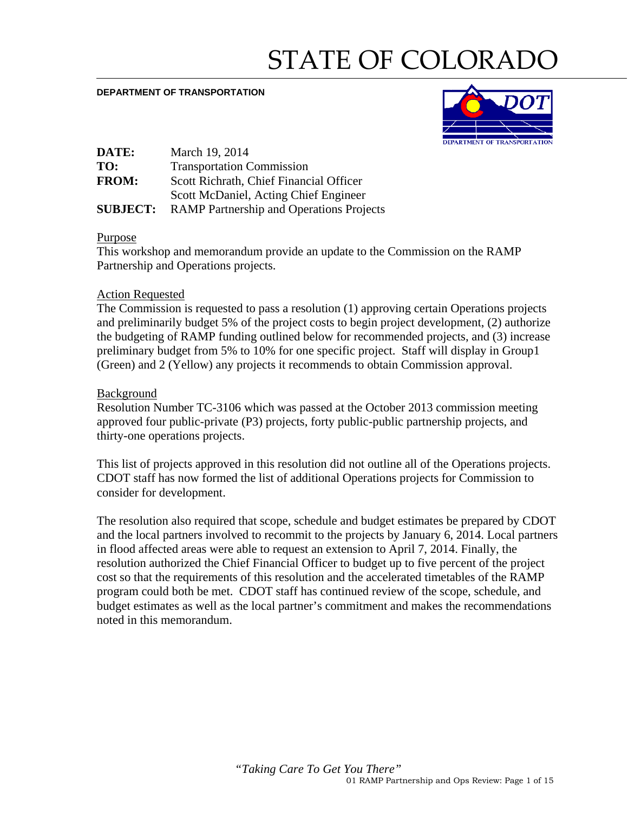# STATE OF COLORADO

**DEPARTMENT OF TRANSPORTATION** 



| DATE:           | March 19, 2014                                  |
|-----------------|-------------------------------------------------|
| TO:             | <b>Transportation Commission</b>                |
| <b>FROM:</b>    | Scott Richrath, Chief Financial Officer         |
|                 | Scott McDaniel, Acting Chief Engineer           |
| <b>SUBJECT:</b> | <b>RAMP</b> Partnership and Operations Projects |

#### Purpose

This workshop and memorandum provide an update to the Commission on the RAMP Partnership and Operations projects.

#### Action Requested

The Commission is requested to pass a resolution (1) approving certain Operations projects and preliminarily budget 5% of the project costs to begin project development, (2) authorize the budgeting of RAMP funding outlined below for recommended projects, and (3) increase preliminary budget from 5% to 10% for one specific project. Staff will display in Group1 (Green) and 2 (Yellow) any projects it recommends to obtain Commission approval.

#### Background

Resolution Number TC-3106 which was passed at the October 2013 commission meeting approved four public-private (P3) projects, forty public-public partnership projects, and thirty-one operations projects.

This list of projects approved in this resolution did not outline all of the Operations projects. CDOT staff has now formed the list of additional Operations projects for Commission to consider for development.

The resolution also required that scope, schedule and budget estimates be prepared by CDOT and the local partners involved to recommit to the projects by January 6, 2014. Local partners in flood affected areas were able to request an extension to April 7, 2014. Finally, the resolution authorized the Chief Financial Officer to budget up to five percent of the project cost so that the requirements of this resolution and the accelerated timetables of the RAMP program could both be met. CDOT staff has continued review of the scope, schedule, and budget estimates as well as the local partner's commitment and makes the recommendations noted in this memorandum.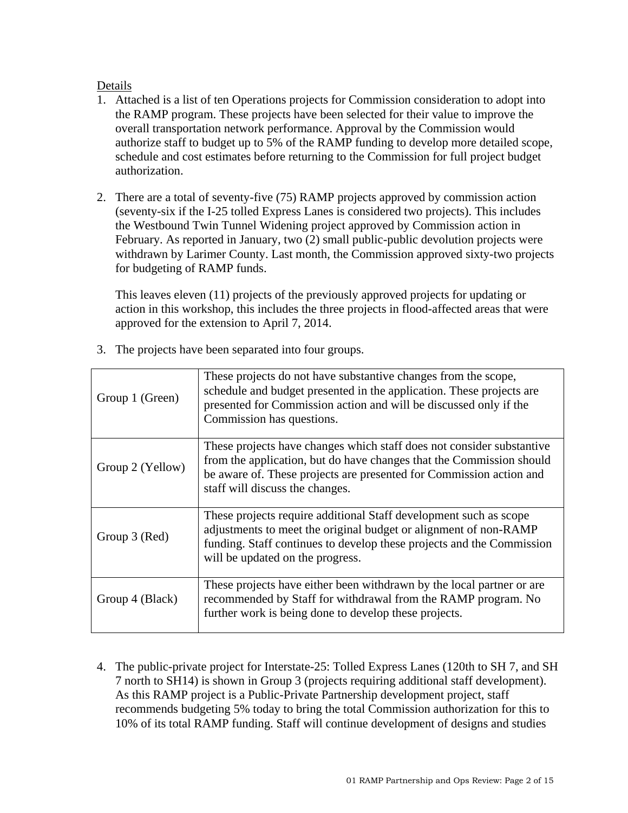### Details

- 1. Attached is a list of ten Operations projects for Commission consideration to adopt into the RAMP program. These projects have been selected for their value to improve the overall transportation network performance. Approval by the Commission would authorize staff to budget up to 5% of the RAMP funding to develop more detailed scope, schedule and cost estimates before returning to the Commission for full project budget authorization.
- 2. There are a total of seventy-five (75) RAMP projects approved by commission action (seventy-six if the I-25 tolled Express Lanes is considered two projects). This includes the Westbound Twin Tunnel Widening project approved by Commission action in February. As reported in January, two (2) small public-public devolution projects were withdrawn by Larimer County. Last month, the Commission approved sixty-two projects for budgeting of RAMP funds.

This leaves eleven (11) projects of the previously approved projects for updating or action in this workshop, this includes the three projects in flood-affected areas that were approved for the extension to April 7, 2014.

| Group 1 (Green)  | These projects do not have substantive changes from the scope,<br>schedule and budget presented in the application. These projects are<br>presented for Commission action and will be discussed only if the<br>Commission has questions.                |
|------------------|---------------------------------------------------------------------------------------------------------------------------------------------------------------------------------------------------------------------------------------------------------|
| Group 2 (Yellow) | These projects have changes which staff does not consider substantive<br>from the application, but do have changes that the Commission should<br>be aware of. These projects are presented for Commission action and<br>staff will discuss the changes. |
| Group 3 (Red)    | These projects require additional Staff development such as scope<br>adjustments to meet the original budget or alignment of non-RAMP<br>funding. Staff continues to develop these projects and the Commission<br>will be updated on the progress.      |
| Group 4 (Black)  | These projects have either been withdrawn by the local partner or are<br>recommended by Staff for withdrawal from the RAMP program. No<br>further work is being done to develop these projects.                                                         |

3. The projects have been separated into four groups.

4. The public-private project for Interstate-25: Tolled Express Lanes (120th to SH 7, and SH 7 north to SH14) is shown in Group 3 (projects requiring additional staff development). As this RAMP project is a Public-Private Partnership development project, staff recommends budgeting 5% today to bring the total Commission authorization for this to 10% of its total RAMP funding. Staff will continue development of designs and studies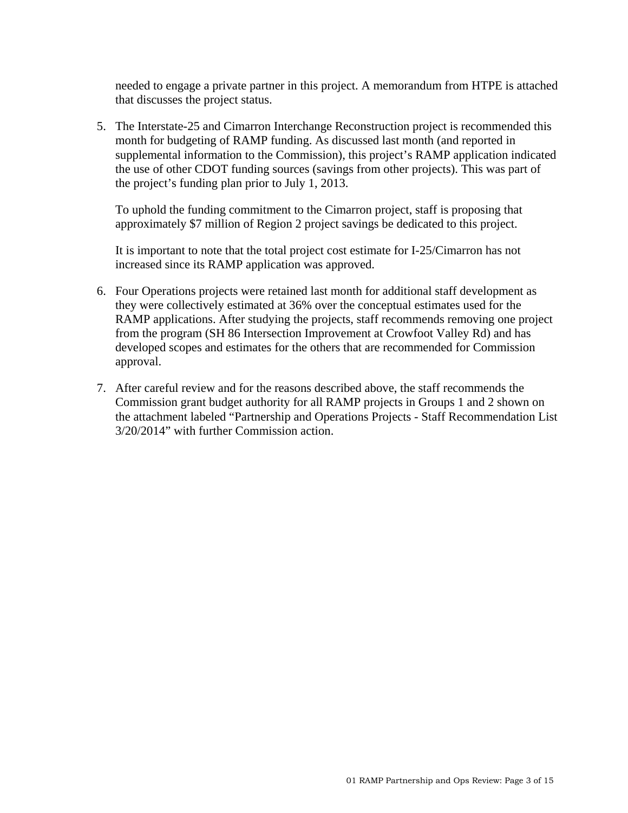needed to engage a private partner in this project. A memorandum from HTPE is attached that discusses the project status.

5. The Interstate-25 and Cimarron Interchange Reconstruction project is recommended this month for budgeting of RAMP funding. As discussed last month (and reported in supplemental information to the Commission), this project's RAMP application indicated the use of other CDOT funding sources (savings from other projects). This was part of the project's funding plan prior to July 1, 2013.

To uphold the funding commitment to the Cimarron project, staff is proposing that approximately \$7 million of Region 2 project savings be dedicated to this project.

It is important to note that the total project cost estimate for I-25/Cimarron has not increased since its RAMP application was approved.

- 6. Four Operations projects were retained last month for additional staff development as they were collectively estimated at 36% over the conceptual estimates used for the RAMP applications. After studying the projects, staff recommends removing one project from the program (SH 86 Intersection Improvement at Crowfoot Valley Rd) and has developed scopes and estimates for the others that are recommended for Commission approval.
- 7. After careful review and for the reasons described above, the staff recommends the Commission grant budget authority for all RAMP projects in Groups 1 and 2 shown on the attachment labeled "Partnership and Operations Projects - Staff Recommendation List 3/20/2014" with further Commission action.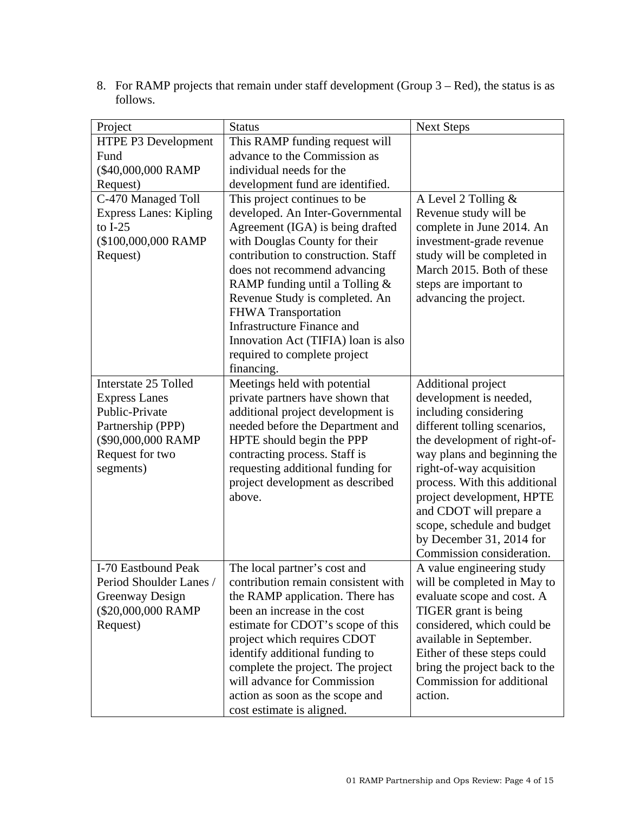| Project                       | <b>Status</b>                       | <b>Next Steps</b>             |
|-------------------------------|-------------------------------------|-------------------------------|
| HTPE P3 Development           | This RAMP funding request will      |                               |
| Fund                          | advance to the Commission as        |                               |
| (\$40,000,000 RAMP            | individual needs for the            |                               |
| Request)                      | development fund are identified.    |                               |
| C-470 Managed Toll            | This project continues to be        | A Level 2 Tolling &           |
| <b>Express Lanes: Kipling</b> | developed. An Inter-Governmental    | Revenue study will be         |
| to $I-25$                     | Agreement (IGA) is being drafted    | complete in June 2014. An     |
| (\$100,000,000 RAMP           | with Douglas County for their       | investment-grade revenue      |
| Request)                      | contribution to construction. Staff | study will be completed in    |
|                               | does not recommend advancing        | March 2015. Both of these     |
|                               | RAMP funding until a Tolling &      | steps are important to        |
|                               | Revenue Study is completed. An      | advancing the project.        |
|                               | FHWA Transportation                 |                               |
|                               | <b>Infrastructure Finance and</b>   |                               |
|                               | Innovation Act (TIFIA) loan is also |                               |
|                               | required to complete project        |                               |
|                               | financing.                          |                               |
| Interstate 25 Tolled          | Meetings held with potential        | Additional project            |
| <b>Express Lanes</b>          | private partners have shown that    | development is needed,        |
| Public-Private                | additional project development is   | including considering         |
|                               |                                     |                               |
| Partnership (PPP)             | needed before the Department and    | different tolling scenarios,  |
| (\$90,000,000 RAMP            | HPTE should begin the PPP           | the development of right-of-  |
| Request for two               | contracting process. Staff is       | way plans and beginning the   |
| segments)                     | requesting additional funding for   | right-of-way acquisition      |
|                               | project development as described    | process. With this additional |
|                               | above.                              | project development, HPTE     |
|                               |                                     | and CDOT will prepare a       |
|                               |                                     | scope, schedule and budget    |
|                               |                                     | by December 31, 2014 for      |
|                               |                                     | Commission consideration.     |
| I-70 Eastbound Peak           | The local partner's cost and        | A value engineering study     |
| Period Shoulder Lanes /       | contribution remain consistent with | will be completed in May to   |
| <b>Greenway Design</b>        | the RAMP application. There has     | evaluate scope and cost. A    |
| (\$20,000,000 RAMP            | been an increase in the cost        | TIGER grant is being          |
| Request)                      | estimate for CDOT's scope of this   | considered, which could be    |
|                               | project which requires CDOT         | available in September.       |
|                               | identify additional funding to      | Either of these steps could   |
|                               | complete the project. The project   | bring the project back to the |
|                               | will advance for Commission         | Commission for additional     |
|                               | action as soon as the scope and     | action.                       |
|                               | cost estimate is aligned.           |                               |

8. For RAMP projects that remain under staff development (Group 3 – Red), the status is as follows.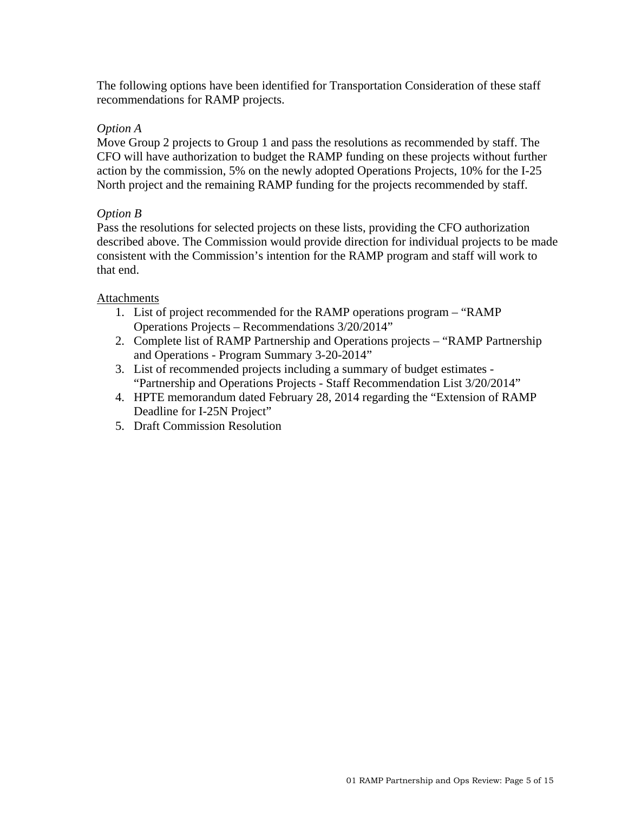The following options have been identified for Transportation Consideration of these staff recommendations for RAMP projects.

#### *Option A*

Move Group 2 projects to Group 1 and pass the resolutions as recommended by staff. The CFO will have authorization to budget the RAMP funding on these projects without further action by the commission, 5% on the newly adopted Operations Projects, 10% for the I-25 North project and the remaining RAMP funding for the projects recommended by staff.

#### *Option B*

Pass the resolutions for selected projects on these lists, providing the CFO authorization described above. The Commission would provide direction for individual projects to be made consistent with the Commission's intention for the RAMP program and staff will work to that end.

#### Attachments

- 1. List of project recommended for the RAMP operations program "RAMP Operations Projects – Recommendations 3/20/2014"
- 2. Complete list of RAMP Partnership and Operations projects "RAMP Partnership and Operations - Program Summary 3-20-2014"
- 3. List of recommended projects including a summary of budget estimates "Partnership and Operations Projects - Staff Recommendation List 3/20/2014"
- 4. HPTE memorandum dated February 28, 2014 regarding the "Extension of RAMP Deadline for I-25N Project"
- 5. Draft Commission Resolution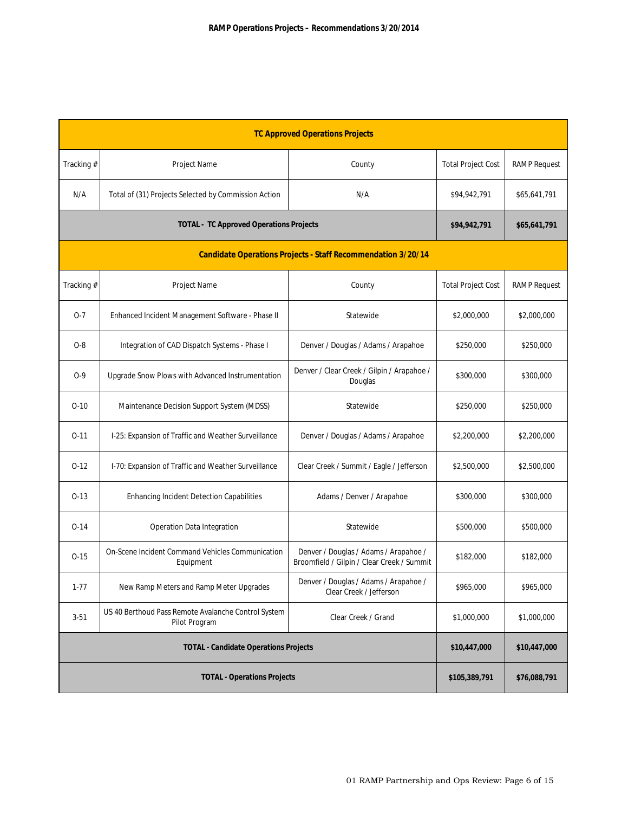|           |                                                                      | <b>TC Approved Operations Projects</b>                                              |                           |                     |
|-----------|----------------------------------------------------------------------|-------------------------------------------------------------------------------------|---------------------------|---------------------|
| Tracking# | Project Name                                                         | County                                                                              | <b>Total Project Cost</b> | <b>RAMP Request</b> |
| N/A       | Total of (31) Projects Selected by Commission Action                 | N/A                                                                                 | \$94,942,791              | \$65,641,791        |
|           | <b>TOTAL - TC Approved Operations Projects</b>                       | \$94,942,791                                                                        | \$65,641,791              |                     |
|           | <b>Candidate Operations Projects - Staff Recommendation 3/20/14</b>  |                                                                                     |                           |                     |
| Tracking# | Project Name                                                         | County                                                                              | <b>Total Project Cost</b> | <b>RAMP Request</b> |
| $0-7$     | Enhanced Incident Management Software - Phase II                     | Statewide                                                                           | \$2,000,000               | \$2,000,000         |
| $O-8$     | Integration of CAD Dispatch Systems - Phase I                        | Denver / Douglas / Adams / Arapahoe                                                 | \$250,000                 | \$250,000           |
| $O-9$     | Upgrade Snow Plows with Advanced Instrumentation                     | Denver / Clear Creek / Gilpin / Arapahoe /<br>Douglas                               | \$300,000                 | \$300,000           |
| $O-10$    | Maintenance Decision Support System (MDSS)                           | Statewide                                                                           | \$250,000                 | \$250,000           |
| $0 - 11$  | I-25: Expansion of Traffic and Weather Surveillance                  | Denver / Douglas / Adams / Arapahoe                                                 | \$2,200,000               | \$2,200,000         |
| $O-12$    | I-70: Expansion of Traffic and Weather Surveillance                  | Clear Creek / Summit / Eagle / Jefferson                                            | \$2,500,000               | \$2,500,000         |
| $O-13$    | <b>Enhancing Incident Detection Capabilities</b>                     | Adams / Denver / Arapahoe                                                           | \$300,000                 | \$300,000           |
| $O-14$    | Operation Data Integration                                           | Statewide                                                                           | \$500,000                 | \$500,000           |
| $O-15$    | On-Scene Incident Command Vehicles Communication<br>Equipment        | Denver / Douglas / Adams / Arapahoe /<br>Broomfield / Gilpin / Clear Creek / Summit | \$182,000                 | \$182,000           |
| $1 - 77$  | New Ramp Meters and Ramp Meter Upgrades                              | Denver / Douglas / Adams / Arapahoe /<br>Clear Creek / Jefferson                    | \$965,000                 | \$965,000           |
| $3 - 51$  | US 40 Berthoud Pass Remote Avalanche Control System<br>Pilot Program | Clear Creek / Grand                                                                 | \$1,000,000               | \$1,000,000         |
|           | <b>TOTAL - Candidate Operations Projects</b>                         |                                                                                     | \$10,447,000              | \$10,447,000        |
|           | <b>TOTAL - Operations Projects</b>                                   |                                                                                     | \$105,389,791             | \$76,088,791        |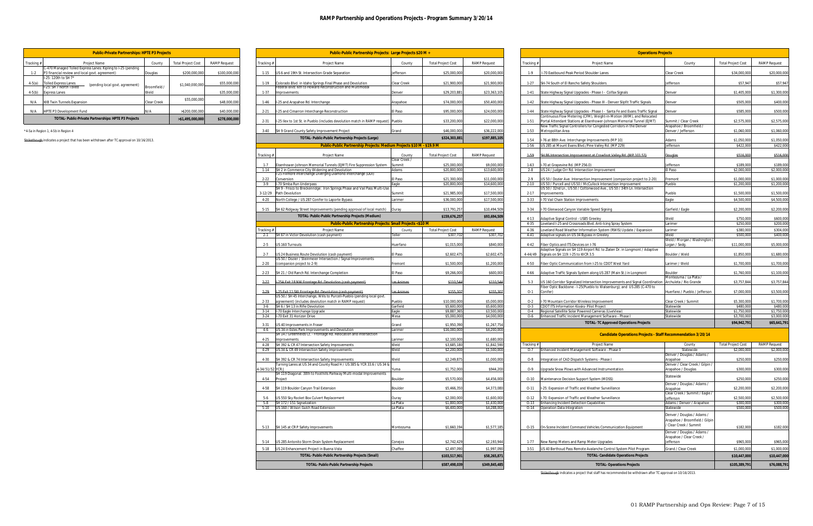|            | <b>Public-Private Partnerships: HPTE P3 Projects</b>                                                          |                     |                           |                     |                                                                                                                                               | Public-Public Partnership Projects: Large Projects \$20 M + |                                        |                                 |                      |                                                                                                                                                 | <b>Operations Projects</b>                                   |                           |                            |
|------------|---------------------------------------------------------------------------------------------------------------|---------------------|---------------------------|---------------------|-----------------------------------------------------------------------------------------------------------------------------------------------|-------------------------------------------------------------|----------------------------------------|---------------------------------|----------------------|-------------------------------------------------------------------------------------------------------------------------------------------------|--------------------------------------------------------------|---------------------------|----------------------------|
| Tracking # | <b>Project Name</b>                                                                                           | County              | <b>Total Project Cost</b> | <b>RAMP</b> Request | Tracking#<br><b>Project Name</b>                                                                                                              | County                                                      | <b>Total Project Cost</b>              | <b>RAMP</b> Request             | Tracking #           | Project Name                                                                                                                                    | County                                                       | <b>Total Project Cost</b> | <b>RAMP Request</b>        |
| $1 - 2$    | -470 Managed Tolled Express Lanes: Kipling to I-25 (pending<br>P3 financial review and local govt. agreement) | Douglas             | \$200,000,000             | \$100,000,000       | $1 - 15$<br>US 6 and 19th St. Intersection Grade Separation                                                                                   | Jefferson                                                   | \$25,000,000                           | \$20,000,000                    | $1-9$                | I-70 Eastbound Peak Period Shoulder Lanes                                                                                                       | Clear Creek                                                  | \$34,000,000              | \$20,000,000               |
| $4-5(a)$   | -25: 120th to SH 7*<br><b>Tolled Express Lanes</b><br>(pending local govt. agreement)                         |                     | \$1,040,000,00            | \$55,000,000        | $1-19$<br>Colorado Blvd. in Idaho Springs Final Phase and Devolution                                                                          | Clear Creek                                                 | \$21,900,000                           | \$21,900,00                     | $1-27$               | SH-74 South of El Rancho Safety Shoulders                                                                                                       | efferson                                                     | \$57.94                   | \$57,947                   |
| $4-5(b)$   | I-25: SH 7 North Tolled<br><b>Express Lanes</b>                                                               | Broomfield.<br>Veld |                           | \$35,000,000        | ederal Blvd: 6th to Howard Reconstruction and Multimodal<br>$1 - 37$<br><b>Improvements</b>                                                   | Denver                                                      | \$29,203,88                            | \$23,363,10                     |                      | 1-41 State Highway Signal Upgrades - Phase I - Colfax Signals                                                                                   | <b>Denver</b>                                                | \$1,405,000               | \$1,300,000                |
| N/A        | <b>WB Twin Tunnels Expansion</b>                                                                              | Clear Creek         | \$55,000,000              | \$48,000,000        | 1-46 I-25 and Arapahoe Rd. Interchange                                                                                                        | Arapahoe                                                    | \$74,000,000                           | \$50,400,000                    |                      | 1-42 State Highway Signal Upgrades - Phase III - Denver Slipfit Traffic Signals                                                                 | )enver                                                       | \$505,000                 | \$400.000                  |
| N/A        | HPTE P3 Development Fund                                                                                      | N/A                 | >\$200,000,00             | \$40,000,000        | -25 and Cimarron Interchange Reconstruction<br>$2 - 21$                                                                                       | El Paso                                                     | \$95,000,000                           | \$24,000,00                     | $1 - 44$             | State Highway Signal Upgrades - Phase I - Santa Fe and Evans Traffic Signal                                                                     | <b>Denver</b>                                                | \$585,000                 | \$500,000                  |
|            | TOTAL- Public-Private Partnerships: HPTE P3 Projects                                                          |                     | > \$1,495,000,000         | \$278,000,000       | -25 Ilex to 1st St. in Pueblo <i>(includes devolution match in RAMP request)</i> Pueblo<br>2-31                                               |                                                             | \$33,200,000                           | \$22,000,000                    | $1-51$               | Continuous Flow Metering (CFM), Weight-in-Motion (WIM), and Relocated<br>Portal Attendant Stations at Eisenhower-Johnson Memorial Tunnel (EJMT) | Summit / Clear Creek                                         | \$2,575,000               | \$2,575,000                |
|            | 4-5a in Region 1, 4-5b in Region 4                                                                            |                     |                           |                     |                                                                                                                                               |                                                             | \$46,000,000                           | \$36,222,00                     |                      | New Traffic Signal Controllers for Congested Corridors in the Denver<br>Metropolitan Area                                                       | Arapahoe / Broomfield /                                      | \$1,060,000               | \$1,060,000                |
|            |                                                                                                               |                     |                           |                     | $3 - 40$<br>SH 9 Grand County Safety Improvement Project<br>TOTAL- Public-Public Partnership Projects (Large)                                 | Grand                                                       | \$324,303,881                          | \$197,885,10                    | $1 - 53$             |                                                                                                                                                 | Denver / Jefferson                                           |                           |                            |
|            | trikethough indicates a project that has been withdrawn after TC approval on 10/16/2013.                      |                     |                           |                     | Public-Public Partnership Projects: Medium Projects \$10 M - \$19.9 M                                                                         |                                                             |                                        |                                 | $1-54$<br>1-56       | -76 at 88th Ave. Interchange Improvements (MP 10)<br>JS 285 at Mount Evans Blvd./Pine Valley Rd. (MP 229)                                       | Adams<br>efferson                                            | \$1,050,000<br>\$422,000  | \$1,050,000<br>\$422,000   |
|            |                                                                                                               |                     |                           |                     | <b>Project Name</b><br>Tracking #                                                                                                             | County                                                      | <b>Total Project Cost</b>              | <b>RAMP</b> Request             | $1 - 59$             | SH 86 Intersection Improvement at Crowfoot Valley Rd. (MP 101.53)                                                                               | <b>Douglas</b>                                               | \$516,000                 | \$516,000                  |
|            |                                                                                                               |                     |                           |                     | $1 - 7$<br>Eisenhower-Johnson Memorial Tunnels (EJMT) Fire Suppression System                                                                 | Clear Creek /<br>Summit                                     | \$25,000,000                           | \$9,000.00                      | $1-63$               | -70 at Grapevine Rd. (MP 256.0)                                                                                                                 | efferson                                                     | \$189,000                 | \$189,000                  |
|            |                                                                                                               |                     |                           |                     | SH 2 in Commerce City Widening and Devolution<br>$1 - 14$                                                                                     | Adams                                                       | \$20,800,000                           | \$13,600,00                     | $2-8$                | US 24 / Judge Orr Rd. Intersection Improvement                                                                                                  | I Paso                                                       | \$2,000,000               | \$2,000,000                |
|            |                                                                                                               |                     |                           |                     | -25 Fillmore Interchange Diverging Diamond Interchange (DDI)<br>$2 - 22$<br>Conversion                                                        | El Paso                                                     | \$21,300,000                           | \$11,000,000                    | $2-9$                | JS 50 / Dozier Ave. Intersection Improvement (companion project to 2-20)                                                                        | remont                                                       | \$1,000,000               | \$1,000,000                |
|            |                                                                                                               |                     |                           |                     | I-70 Simba Run Underpass<br>$3-9$<br>SH 9 - Frisco to Breckenridge: Iron Springs Phase and Vail Pass Multi-Use                                | Eagle                                                       | \$20,800,000                           | \$14,600,00                     | $2 - 10$             | JS 50 / Purcell and US 50 / McCullock Intersection Improvement<br>JS 50 / 32nd Ln., US 50 / Cottonwood Ave., US 50 / 34th Ln. Intersection      | Pueblo                                                       | \$1,200,000               | \$1,200,000                |
|            |                                                                                                               |                     |                           |                     | 3-12/29 Path Devolution                                                                                                                       | Summit                                                      | \$21,985,000                           | \$17,500,00                     | $2 - 17$             | mprovements                                                                                                                                     | Pueblo                                                       | \$1,500,000               | \$1,500,000                |
|            |                                                                                                               |                     |                           |                     | North College / US 287 Conifer to Laporte Bypass<br>$4 - 20$                                                                                  | Larimer                                                     | \$36,000,000                           | \$17,500,00                     | $3 - 33$             | -70 Vail Chain Station Improvements                                                                                                             | Eagle                                                        | \$4,500,000               | \$4,500,000                |
|            |                                                                                                               |                     |                           |                     | 5-15 SH 62 Ridgway Street Improvements (pending approval of local match) Ouray                                                                |                                                             | \$13,791,257                           | \$10,494,50                     | $3 - 34$             | I-70 Glenwood Canvon Variable Speed Signing                                                                                                     | Garfield / Eagle                                             | \$2,200,000               | \$2,200,000                |
|            |                                                                                                               |                     |                           |                     | TOTAL- Public-Public Partnership Projects (Medium)                                                                                            |                                                             | \$159,676,257                          | \$93,694,50                     | $4 - 13$             | Adaptive Signal Control - US85 Greeley                                                                                                          | Neld                                                         | \$750,000                 | \$600,000                  |
|            |                                                                                                               |                     |                           |                     | <b>Public-Public Partnership Projects: Small Projects &lt;\$10 M</b>                                                                          |                                                             |                                        |                                 | $4 - 35$             | Loveland I-25 and Crossroads Blvd. Anti-Icing Spray System                                                                                      | Larimer                                                      | \$250,000                 | \$200,000                  |
|            |                                                                                                               |                     |                           |                     | Tracking #<br>Project Name<br>$2-1$<br>SH 67 in Victor Devolution (cash payment)                                                              | County<br>Teller                                            | <b>Total Project Cost</b><br>\$307,702 | <b>RAMP</b> Request<br>\$307,70 | $4 - 36$<br>$4 - 41$ | oveland Road Weather Information System (RWIS) Update / Expansion<br>Adaptive signals on US 34 Bypass in Greeley                                | Larimer<br>Weld                                              | \$380,000<br>\$500,000    | \$304,000<br>\$400,000     |
|            |                                                                                                               |                     |                           |                     |                                                                                                                                               |                                                             |                                        |                                 |                      |                                                                                                                                                 | Neld / Morgan / Washington /                                 |                           |                            |
|            |                                                                                                               |                     |                           |                     | US 160 Turnouts<br>$2 - 5$                                                                                                                    | Huerfano                                                    | \$1,015,000                            | \$840,000                       | $4 - 42$             | Fiber Optics and ITS Devices on I-76<br>Adaptive Signals on SH 119 Airport Rd. to Zlaten Dr. in Longmont / Adaptive                             | ogan / Sedg.                                                 | \$11,000,000              | \$5,000,000                |
|            |                                                                                                               |                     |                           |                     | $2 - 7$<br>US 24 Business Route Devolution (cash payment)<br>JS 50 / Dozier / Steinmeier Intersection / Signal Improvements                   | El Paso                                                     | \$2,602.475                            | \$2,602,47                      |                      | 4-44/49 Signals on SH 119: I-25 to WCR 3.5                                                                                                      | Boulder / Weld                                               | \$1,850,000               | \$1,680,000                |
|            |                                                                                                               |                     |                           |                     | $2-20$<br>(companion project to 2-9)                                                                                                          | Fremont                                                     | \$1,500,000                            | \$1,200,000                     | 4-50                 | iber Optic Communication from I-25 to CDOT West Yard                                                                                            | arimer / Weld                                                | \$1,700,000               | \$1,700,000                |
|            |                                                                                                               |                     |                           |                     | 2-23 SH 21 / Old Ranch Rd. Interchange Completion                                                                                             | El Paso                                                     | \$9,266,000                            | \$600,000                       | 4-66                 | Adaptive Traffic Signals System along US 287 (Main St.) in Longmont                                                                             | Boulder<br>/ Montezuma / La Plata                            | \$1,760,000               | \$1,100,000                |
|            |                                                                                                               |                     |                           |                     | I-25A Exit 18 NW Frontage Rd. Devolution (cash payment)<br>$2 - 27$                                                                           | Las Animas                                                  | \$110.544                              | \$110,544                       | $5 - 3$              | US 160 Corridor Signalized Intersection Improvements and Signal Coordination Archuleta / Rio Grande                                             |                                                              | \$3,757,844               | \$3,757,844                |
|            |                                                                                                               |                     |                           |                     | 1-25 Exit 11 SW Frontage Rd. Devolution (cash payment)<br>2-29                                                                                | <b>Las Animas</b>                                           | \$155.307                              | \$155,307                       | $O-1$                | iber Optic Backbone - I-25(Pueblo to Walsenburg); and US 285 (C-470 to<br>Conifer)                                                              | luerfano / Pueblo / Jefferson                                | \$7,000,000               | \$3,500,000                |
|            |                                                                                                               |                     |                           |                     | US 50 / SH 45 Interchange, Wills to Purcell-Pueblo (pending local govt.<br>agreement) (includes devolution match in RAMP request)<br>$2 - 33$ | Pueblo                                                      | \$10,000,000                           | \$5,000,000                     | $O-2$                | -70 Mountain Corridor Wireless Improvement                                                                                                      | Clear Creek / Summit                                         | \$5,300,000               | \$1,700,000                |
|            |                                                                                                               |                     |                           |                     | 3-6 SH 6 / SH 13 in Rifle Devolution                                                                                                          | Garfield                                                    | \$5,600,000                            | \$5,600,000                     | $O-3$                | <b>CDOT ITS Information Kiosks-Pilot Project</b>                                                                                                | Statewide                                                    | \$480,000                 | \$480,000                  |
|            |                                                                                                               |                     |                           |                     | 3-14   I-70 Eagle Interchange Upgrade<br>I-70 Exit 31 Horizon Drive                                                                           | Eagle                                                       | \$9.887.365<br>\$5,000,000             | \$3,500,000<br>\$4,000,000      | $O-4$                | Regional Satellite Solar Powered Cameras (LiveView)                                                                                             | Statewide                                                    | \$1,750,000               | \$1,750,000<br>\$3,000,000 |
|            |                                                                                                               |                     |                           |                     | $3 - 24$                                                                                                                                      | Mesa                                                        |                                        |                                 | $O-6$                | Enhanced Traffic Incident Management Software - Phase I                                                                                         | Statewide                                                    | \$3,700,000               |                            |
|            |                                                                                                               |                     |                           |                     | $3 - 31$<br>US 40 Improvements in Fraser<br>US 34 in Estes Park Improvements and Devolution<br>$4-6$                                          | Grand<br>Larimer                                            | \$1,950,390<br>\$16,000,000            | \$1,267,75<br>\$4,200,000       |                      | TOTAL- TC Approved Operations Projects                                                                                                          |                                                              | \$94,942,79               | \$65,641,791               |
|            |                                                                                                               |                     |                           |                     | H 14 / Greenfields Ct. - Frontage Rd. Relocation and Intersection<br>$4 - 25$<br>Improvements                                                 | Larimer                                                     | \$2,100,000                            | \$1,680,000                     |                      | Candidate Operations Projects - Staff Recommendation 3/20/14                                                                                    |                                                              |                           |                            |
|            |                                                                                                               |                     |                           |                     | 4-28 SH 392 & CR 47 Intersection Safety Improvements                                                                                          | Weld                                                        | \$3,685,180                            | \$1,842,590                     | Tracking #           | Project ivanie                                                                                                                                  | county                                                       | Total Project Cost        | <b>RAMP Request</b>        |
|            |                                                                                                               |                     |                           |                     | 4-29 US 34 & CR 49 Intersection Safety Improvements                                                                                           | Weld                                                        | \$2,200,000                            | \$1,500,000                     |                      | 0-7 Enhanced Incident Management Software - Phase II                                                                                            | Statewide<br>Denver / Douglas / Adams /                      | \$2,000,000               | \$2,000,000                |
|            |                                                                                                               |                     |                           |                     | 4-30 SH 392 & CR 74 Intersection Safety Improvements<br>Turning Lanes at US 34 and County Road H / US 385 & YCR 33.6 / US 34 &                | Weld                                                        | \$2,249,875                            | \$1,000,000                     |                      | O-8 Integration of CAD Dispatch Systems - Phase I                                                                                               | Arapahoe<br>Denver / Clear Creek / Gilpin.                   | \$250,000                 | \$250,000                  |
|            |                                                                                                               |                     |                           |                     | 4-34/51/52 YCR J                                                                                                                              | /uma                                                        | \$1,752,000                            | \$944,200                       | $O-9$                | Upgrade Snow Plows with Advanced Instrumentation                                                                                                | Arapahoe / Douglas                                           | \$300,000                 | \$300,000                  |
|            |                                                                                                               |                     |                           |                     | SH 119 Diagonal: 30th to Foothills Parkway Multi-modal Improvements<br>4-54<br>Project                                                        | Boulder                                                     | \$5,570,000                            | \$4,456,000                     |                      | O-10 Maintenance Decision Support System (MDSS)                                                                                                 | Statewide                                                    | \$250,000                 | \$250,000                  |
|            |                                                                                                               |                     |                           |                     | SH 119 Boulder Canyon Trail Extension<br>4-58                                                                                                 | Boulder                                                     | \$5,466,350                            | \$4,373,080                     | O-11                 | I-25: Expansion of Traffic and Weather Surveillance                                                                                             | Denver / Douglas / Adams /<br>Arapahoe                       | \$2,200,000               | \$2,200,000                |
|            |                                                                                                               |                     |                           |                     | US 550 Sky Rocket Box Culvert Replacement<br>$5-6$                                                                                            | Ouray                                                       | \$2,000,000                            | \$1,600,000                     | $O-12$               | I-70: Expansion of Traffic and Weather Surveillance                                                                                             | Clear Creek / Summit / Eagle /<br>Jefferson                  | \$2,500,000               | \$2,500,000                |
|            |                                                                                                               |                     |                           |                     | 5-8 SH 172 / 151 Signalization                                                                                                                | La Plata                                                    | \$1,800,000                            | \$1,430,000                     | $O-13$               | <b>Enhancing Incident Detection Capabilities</b>                                                                                                | Adams / Denver / Arapahoe                                    | \$300,000                 | \$300,000                  |
|            |                                                                                                               |                     |                           |                     | 5-10 US 160 / Wilson Gulch Road Extension                                                                                                     | La Plata                                                    | \$6,400,000                            | \$4,288,000                     |                      | O-14 Operation Data Integration                                                                                                                 | Statewide                                                    | \$500,000                 | \$500,000                  |
|            |                                                                                                               |                     |                           |                     |                                                                                                                                               |                                                             |                                        |                                 |                      |                                                                                                                                                 | Denver / Douglas / Adams /<br>Arapahoe / Broomfield / Gilpin |                           |                            |
|            |                                                                                                               |                     |                           |                     | 5-13 SH 145 at CR P Safety Improvements                                                                                                       | Montezuma                                                   | \$1,660,194                            | \$1,577,185                     |                      | O-15 On-Scene Incident Command Vehicles Communication Equipment                                                                                 | Clear Creek / Summit                                         | \$182,000                 | \$182,000                  |
|            |                                                                                                               |                     |                           |                     |                                                                                                                                               |                                                             |                                        |                                 |                      |                                                                                                                                                 | Denver / Douglas / Adams /<br>Arapahoe / Clear Creek /       |                           |                            |
|            |                                                                                                               |                     |                           |                     | 5-14 US 285 Antonito Storm Drain System Replacement                                                                                           | Conejos                                                     | \$2,742,429                            | \$2,193,944                     |                      | 1-77 New Ramp Meters and Ramp Meter Upgrades                                                                                                    | Jefferson                                                    | \$965,000                 | \$965,000                  |
|            |                                                                                                               |                     |                           |                     | US 24 Enhancement Project in Buena Vista<br>$5 - 18$<br>TOTAL- Public-Public Partnership Projects (Small)                                     | Chaffee                                                     | \$2,497,090                            | \$1,997,090                     | $3 - 51$             | US 40 Berthoud Pass Remote Avalanche Control System Pilot Program<br><b>TOTAL- Candidate Operations Projects</b>                                | Grand / Clear Creek                                          | \$1,000,000               | \$1,000,000                |
|            |                                                                                                               |                     |                           |                     |                                                                                                                                               |                                                             | \$103,517,901                          | \$58,265,871                    |                      |                                                                                                                                                 |                                                              | \$10,447,000              | \$10,447,000               |
|            |                                                                                                               |                     |                           |                     | TOTAL- Public-Public Partnership Projects                                                                                                     |                                                             | \$587,498,039                          | \$349,845,485                   |                      | <b>TOTAL- Operations Projects</b>                                                                                                               |                                                              | \$105,389,79              | \$76,088,791               |
|            |                                                                                                               |                     |                           |                     |                                                                                                                                               |                                                             |                                        |                                 |                      | Strikethough indicates a project that staff has recommended be withdrawn after TC approval on 10/16/2013.                                       |                                                              |                           |                            |

|            | <b>Public-Private Partnerships: HPTE P3 Projects</b>                                                           |                      |                           |                     |
|------------|----------------------------------------------------------------------------------------------------------------|----------------------|---------------------------|---------------------|
| Tracking # | Project Name                                                                                                   | County               | <b>Total Project Cost</b> | <b>RAMP</b> Request |
| $1 - 2$    | C-470 Managed Tolled Express Lanes: Kipling to I-25 (pending<br>P3 financial review and local govt. agreement) | Douglas              | \$200,000,000             | \$100.000.000       |
| $4-5(a)$   | I-25: 120th to SH 7*<br><b>Tolled Express Lanes</b><br>(pending local govt. agreement)                         |                      | \$1.040.000.000           | \$55,000,000        |
| $4-5(b)$   | I-25: SH 7 North Tolled<br><b>Express Lanes</b>                                                                | Broomfield /<br>Weld |                           | \$35,000,000        |
| N/A        | <b>WB Twin Tunnels Expansion</b>                                                                               | <b>Clear Creek</b>   | \$55,000,000              | \$48,000,000        |
| N/A        | HPTE P3 Development Fund                                                                                       | N/A                  | >\$200.000.000            | \$40,000,000        |
|            | TOTAL- Public-Private Partnerships: HPTE P3 Projects                                                           |                      | >\$1.495.000.000          | \$278,000,000       |

| <b>Public-Private Partnerships: HPTE P3 Projects</b> |              |                           |                     |
|------------------------------------------------------|--------------|---------------------------|---------------------|
| t Name:                                              | County       | <b>Total Project Cost</b> | <b>RAMP</b> Request |
| Lanes: Kipling to I-25 (pending<br>vt. agreement)    | Douglas      | \$200,000,000             | \$100,000,000       |
|                                                      |              |                           |                     |
| ending local govt. agreement)                        | Broomfield / | \$1,040,000,000           | \$55,000,000        |
|                                                      | Weld         | \$55,000,000              | \$35,000,000        |
|                                                      | Clear Creek  |                           | \$48,000,000        |
|                                                      | N/A          | >\$200,000,000            | \$40,000,000        |
| artnerships: HPTE P3 Projects                        |              | >\$1,495,000,000          | \$278,000,000       |
|                                                      |              |                           |                     |
|                                                      |              |                           |                     |
| ithdrawn after TC approval on 10/16/2013.            |              |                           |                     |
|                                                      |              |                           |                     |
|                                                      |              |                           |                     |
|                                                      |              |                           |                     |
|                                                      |              |                           |                     |
|                                                      |              |                           |                     |
|                                                      |              |                           |                     |
|                                                      |              |                           |                     |
|                                                      |              |                           |                     |
|                                                      |              |                           |                     |
|                                                      |              |                           |                     |
|                                                      |              |                           |                     |
|                                                      |              |                           |                     |
|                                                      |              |                           |                     |
|                                                      |              |                           |                     |
|                                                      |              |                           |                     |
|                                                      |              |                           |                     |
|                                                      |              |                           |                     |
|                                                      |              |                           |                     |
|                                                      |              |                           |                     |
|                                                      |              |                           |                     |
|                                                      |              |                           |                     |
|                                                      |              |                           |                     |
|                                                      |              |                           |                     |
|                                                      |              |                           |                     |
|                                                      |              |                           |                     |
|                                                      |              |                           |                     |
|                                                      |              |                           |                     |
|                                                      |              |                           |                     |
|                                                      |              |                           |                     |
|                                                      |              |                           |                     |
|                                                      |              |                           |                     |
|                                                      |              |                           |                     |
|                                                      |              |                           |                     |
|                                                      |              |                           |                     |
|                                                      |              |                           |                     |
|                                                      |              |                           |                     |
|                                                      |              |                           |                     |
|                                                      |              |                           |                     |
|                                                      |              |                           |                     |
|                                                      |              |                           |                     |
|                                                      |              |                           |                     |
|                                                      |              |                           |                     |
|                                                      |              |                           |                     |
|                                                      |              |                           |                     |
|                                                      |              |                           |                     |

\*4-5a in Region 1, 4-5b in Region 4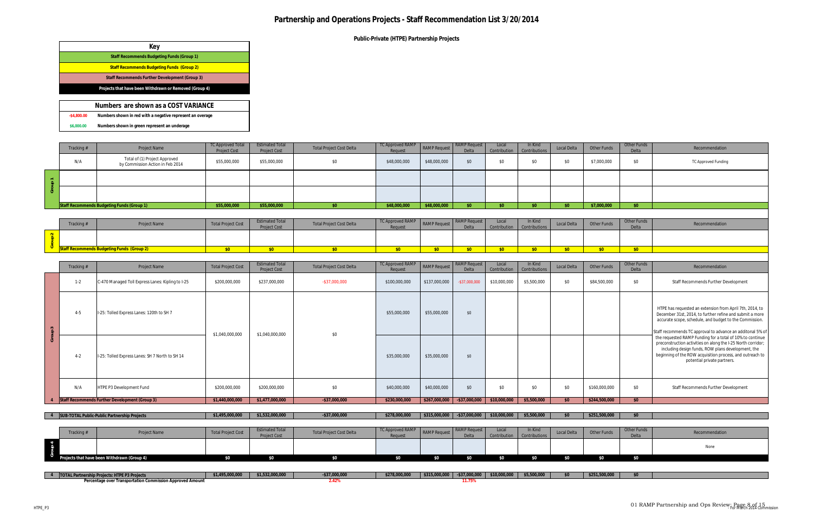**Public-Private (HTPE) Partnership Projects**

|               | Tracking # | <b>Project Name</b>                                               | <b>TC Approved Total</b><br><b>Project Cost</b> | <b>Estimated Total</b><br><b>Project Cost</b> | <b>Total Project Cost Delta</b> | TC Approved RAMP RAMP Request NAME<br>Request |              | $\vert$ RAMP Request<br>Delta | Local | In Kind<br>Contribution Contributions | Local Delta | Other Funds | Other Funds<br>Delta | Recommendation      |
|---------------|------------|-------------------------------------------------------------------|-------------------------------------------------|-----------------------------------------------|---------------------------------|-----------------------------------------------|--------------|-------------------------------|-------|---------------------------------------|-------------|-------------|----------------------|---------------------|
|               | N/A        | Total of (1) Project Approved<br>by Commission Action in Feb 2014 | \$55,000,000                                    | \$55,000,000                                  | \$0                             | \$48,000,000                                  | \$48,000,000 | \$0                           | \$0   | \$0                                   | $\sigma$    | \$7,000,000 |                      | TC Approved Funding |
| $\sim$ $\sim$ |            |                                                                   |                                                 |                                               |                                 |                                               |              |                               |       |                                       |             |             |                      |                     |
|               |            |                                                                   |                                                 |                                               |                                 |                                               |              |                               |       |                                       |             |             |                      |                     |
|               |            | Staff Recommends Budgeting Funds (Group 1)                        | \$55,000,000                                    | \$55,000,000                                  | \$0                             | \$48,000,000                                  | \$48,000,000 | <b>kn</b>                     |       |                                       |             | \$7,000,000 | $\mathfrak{c}_0$     |                     |
|               |            |                                                                   |                                                 |                                               |                                 |                                               |              |                               |       |                                       |             |             |                      |                     |

| $\blacksquare$ Tracking $\blacksquare$ | viect Name | <b>Total Project Cost</b> | <b>Estimated Total</b><br>Project Cost | <b>NDAMD</b><br><b>TC Approved RAM</b><br><b>Request</b> |               | Delta | Local | In Kind | Local Delta | Other Funds  | Other Funds<br>D <sub>0</sub> H <sub>2</sub> | Recommendation |
|----------------------------------------|------------|---------------------------|----------------------------------------|----------------------------------------------------------|---------------|-------|-------|---------|-------------|--------------|----------------------------------------------|----------------|
|                                        |            |                           |                                        |                                                          |               |       |       |         |             |              |                                              |                |
|                                        |            |                           |                                        |                                                          | $\sim$ $\sim$ |       |       |         |             | <b>SALES</b> |                                              |                |

|              | Key                                                       |
|--------------|-----------------------------------------------------------|
|              | Staff Recommends Budgeting Funds (Group 1)                |
|              | <b>Staff Recommends Budgeting Funds (Group 2)</b>         |
|              | Staff Recommends Further Development (Group 3)            |
|              | Projects that have been Withdrawn or Removed (Group 4)    |
|              |                                                           |
|              | Numbers are shown as a COST VARIANCE                      |
| $-$4,800.00$ | Numbers shown in red with a negative represent an overage |
| \$6,000.00   | Numbers shown in green represent an underage              |

**4 SUB-TOTAL Public-Public Partnership Projects \$1,495,000,000 \$1,532,000,000 -\$37,000,000 \$278,000,000 \$315,000,000 -\$37,000,000 \$10,000,000 \$5,500,000 \$0 \$251,500,000 \$0**

|                      | Tracking # | Project Name                                      | <b>Total Project Cost</b> | <b>Estimated Total</b><br><b>Project Cost</b> | <b>Total Project Cost Delta</b> | <b>TC Approved RAMP</b><br>Request | RAMP Request RAMP Request | Delta            | Local<br>Contribution | In Kind<br>Contributions | Local Delta | Other Funds   | Other Funds<br>Delta | Recommendation                                                                                                                                                                                                                                                              |
|----------------------|------------|---------------------------------------------------|---------------------------|-----------------------------------------------|---------------------------------|------------------------------------|---------------------------|------------------|-----------------------|--------------------------|-------------|---------------|----------------------|-----------------------------------------------------------------------------------------------------------------------------------------------------------------------------------------------------------------------------------------------------------------------------|
| ് ന<br>$\frac{1}{2}$ | $1-2$      | C-470 Managed Toll Express Lanes: Kipling to I-25 | \$200,000,000             | \$237,000,000                                 | $-$ \$37,000,000                | \$100,000,000                      | \$137,000,000             | $-$ \$37,000,000 | \$10,000,000          | \$5,500,000              | \$0         | \$84,500,000  | \$0                  | Staff Recommends Further Development                                                                                                                                                                                                                                        |
|                      | $4-5$      | I-25: Tolled Express Lanes: 120th to SH 7         |                           |                                               |                                 | \$55,000,000                       | \$55,000,000              | \$0              |                       |                          |             |               |                      | HTPE has requested an extension from April 7th, 2014, to<br>December 31st, 2014, to further refine and submit a more<br>accurate scope, schedule, and budget to the Commission.<br>Staff recommends TC approval to advance an additonal 5% of                               |
|                      | $4-2$      | I-25: Tolled Express Lanes: SH 7 North to SH 14   | \$1,040,000,000           | \$1,040,000,000                               | \$0                             | \$35,000,000                       | \$35,000,000              | \$0              |                       |                          |             |               |                      | the requested RAMP Funding for a total of 10% to continue<br>preconstruction activities on along the I-25 North corridor;<br>including design funds, ROW plans development, the<br>beginning of the ROW acquisition process, and outreach to<br>potential private partners. |
|                      | N/A        | HTPE P3 Development Fund                          | \$200,000,000             | \$200,000,000                                 | \$0                             | \$40,000,000                       | \$40,000,000              | \$0              | \$0                   | \$0                      | \$0         | \$160,000,000 | \$0                  | Staff Recommends Further Development                                                                                                                                                                                                                                        |
|                      |            | Staff Recommends Further Development (Group 3)    | \$1,440,000,000           | \$1,477,000,000                               | $-$ \$37,000,000                | \$230,000,000                      | \$267,000,000             | $-$ \$37,000,000 | \$10,000,000          | \$5,500,000              | \$0         | \$244,500,000 | \$0                  |                                                                                                                                                                                                                                                                             |
|                      |            |                                                   |                           |                                               |                                 |                                    |                           |                  |                       |                          |             |               |                      |                                                                                                                                                                                                                                                                             |

|                                                                     | <b>TOTAL F</b> | 00000 | $\sim$ $\sim$ $\sim$<br>,532,000,000 |       | \$278.000.000 | \$315<br>00-000- | -831<br>$\Omega$                                                                        | 0.000.000 | \$5,500,000 | $\mathfrak{C}$ | 325F |  |
|---------------------------------------------------------------------|----------------|-------|--------------------------------------|-------|---------------|------------------|-----------------------------------------------------------------------------------------|-----------|-------------|----------------|------|--|
| . Fransportation Commission 1<br>$\sim$<br>zeg Amoun<br>uve<br>начс |                |       |                                      | ، 42. |               |                  | $\overline{A}$ $\overline{A}$ $\overline{B}$ $\overline{B}$<br>1. <i>I</i> J <i>I</i> V |           |             |                |      |  |

|         |                                  | $\sim$ POD TO THE FORMULT ONLY TO THE FOLLOWING THE RESERVE TO THE RESERVE TO THE RESERVE TO THE RESERVE TO THE RESERVE TO THE RESERVE TO THE RESERVE TO THE RESERVE TO THE RESERVE TO THE RESERVE TO THE RESERVE TO THE RESERV | $V_{11}$ , $V_{21}$       | $V1$ , $V2$ , $V3$ , $V4$ , $V5$ | 401,000,000                     | $V = V_1$        | $\sqrt{2}$   | $\sqrt{2}$          | $v_1$        | 40,000,000    | $\vee$      | $V = V + V + V + V + V$ | $\vee$      |                |  |  |  |
|---------|----------------------------------|---------------------------------------------------------------------------------------------------------------------------------------------------------------------------------------------------------------------------------|---------------------------|----------------------------------|---------------------------------|------------------|--------------|---------------------|--------------|---------------|-------------|-------------------------|-------------|----------------|--|--|--|
|         |                                  |                                                                                                                                                                                                                                 |                           |                                  |                                 |                  |              |                     |              |               |             |                         |             |                |  |  |  |
|         | Tracking#                        | Project Name                                                                                                                                                                                                                    | <b>Total Project Cost</b> | <b>Estimated Total</b>           | <b>Total Project Cost Delta</b> | TC Approved RAMP | RAMP Request | <b>RAMP</b> Request | Local        | In Kind       | Local Delta | Other Funds             | Other Funds | Recommendation |  |  |  |
|         |                                  |                                                                                                                                                                                                                                 |                           | <b>Project Cost</b>              |                                 | Request          |              | $\lambda$           | Contribution | Contributions |             |                         | Delta       |                |  |  |  |
|         |                                  |                                                                                                                                                                                                                                 |                           |                                  |                                 |                  |              |                     |              |               |             |                         |             |                |  |  |  |
| Group 4 |                                  |                                                                                                                                                                                                                                 |                           |                                  |                                 |                  |              |                     |              |               |             |                         |             | None           |  |  |  |
|         |                                  |                                                                                                                                                                                                                                 |                           |                                  |                                 |                  |              |                     |              |               |             |                         |             |                |  |  |  |
|         | at have been Withdrawn (Group 4) |                                                                                                                                                                                                                                 |                           |                                  |                                 |                  |              |                     |              |               |             |                         |             |                |  |  |  |
|         |                                  |                                                                                                                                                                                                                                 |                           |                                  |                                 |                  |              |                     |              |               |             |                         |             |                |  |  |  |
|         |                                  |                                                                                                                                                                                                                                 |                           |                                  |                                 |                  |              |                     |              |               |             |                         |             |                |  |  |  |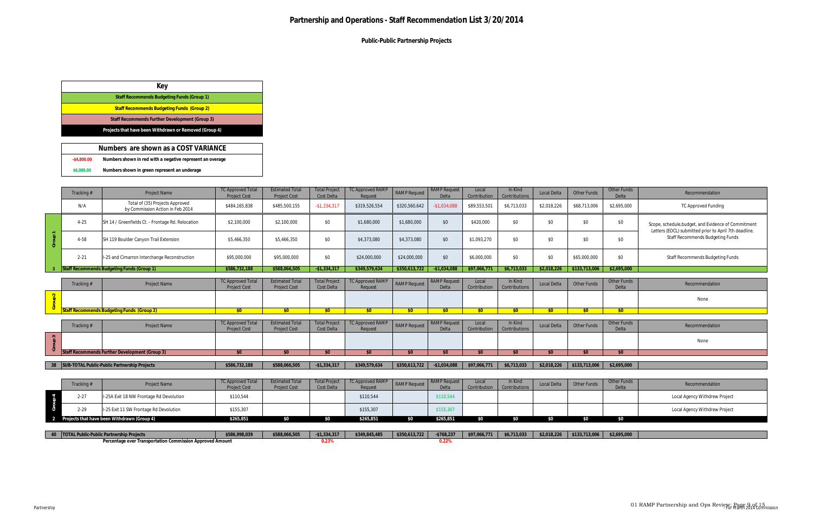**Public-Public Partnership Projects**

**-\$4,800.00 \$6,000.00 Numbers are shown as a COST VARIANCE Numbers shown in red with a negative represent an overage Numbers shown in green represent an underage**

|                  | Tracking#  | <b>Project Name</b>                                                 | <b>TC Approved Tota</b><br><b>Project Cost</b>  | <b>Estimated Total</b><br><b>Project Cost</b> | <b>Total Project</b><br>Cost Delta | <b>TC Approved RAMP</b><br>Reauest | <b>RAMP Request</b> | <b>RAMP</b> Request<br>Delta | Local<br>Contribution | In Kind<br>Contributions | Local Delta        | <b>Other Funds</b> | <b>Other Funds</b><br>Delta | Recommendation                                                                                   |
|------------------|------------|---------------------------------------------------------------------|-------------------------------------------------|-----------------------------------------------|------------------------------------|------------------------------------|---------------------|------------------------------|-----------------------|--------------------------|--------------------|--------------------|-----------------------------|--------------------------------------------------------------------------------------------------|
|                  | N/A        | Total of (35) Projects Approved<br>by Commission Action in Feb 2014 | \$484,165,838                                   | \$485,500,155                                 | $-$1,334,317$                      | \$319,526,554                      | \$320,560,642       | $-$1,034,088$                | \$89,553,501          | \$6,713,033              | \$2,018,226        | \$68,713,006       | \$2,695,000                 | <b>TC Approved Funding</b>                                                                       |
|                  | $4 - 25$   | SH 14 / Greenfields Ct. - Frontage Rd. Relocation                   | \$2,100,000                                     | \$2,100,000                                   | \$0                                | \$1,680,000                        | \$1,680,000         | \$0                          | \$420,000             | \$0                      | \$0                | \$0                | \$0                         | Scope, schedule, budget, and Evidence of Commitment                                              |
| Group 1          | 4-58       | SH 119 Boulder Canyon Trail Extension                               | \$5,466,350                                     | \$5,466,350                                   | \$0                                | \$4,373,080                        | \$4,373,080         | \$0                          | \$1,093,270           | \$0                      | \$0                | \$0                | \$0                         | Letters (EOCL) submitted prior to April 7th deadline.<br><b>Staff Recommends Budgeting Funds</b> |
|                  | $2 - 21$   | I-25 and Cimarron Interchange Reconstruction                        | \$95,000,000                                    | \$95,000,000                                  | \$0                                | \$24,000,000                       | \$24,000,000        | \$0                          | \$6,000,000           | \$0                      | \$0                | \$65,000,000       | \$0                         | <b>Staff Recommends Budgeting Funds</b>                                                          |
|                  |            | Staff Recommends Budgeting Funds (Group 1)                          | \$586,732,188                                   | \$588,066,505                                 | $-$1.334.317$                      | \$349.579.634                      | \$350.613.722       | $-$1.034.088$                | \$97,066,771          | \$6.713.033              | \$2,018,226        | \$133,713,006      | \$2,695,000                 |                                                                                                  |
|                  | Tracking # | <b>Project Name</b>                                                 | <b>TC Approved Total</b><br><b>Project Cost</b> | <b>Estimated Total</b><br><b>Project Cost</b> | <b>Total Project</b><br>Cost Delta | <b>TC Approved RAMP</b><br>Request | <b>RAMP Request</b> | <b>RAMP</b> Request<br>Delta | Local<br>Contribution | In Kind<br>Contributions | <b>Local Delta</b> | <b>Other Funds</b> | <b>Other Funds</b><br>Delta | Recommendation                                                                                   |
| oup <sub>2</sub> |            |                                                                     |                                                 |                                               |                                    |                                    |                     |                              |                       |                          |                    |                    |                             | None                                                                                             |
|                  |            | <b>Staff Recommends Budgeting Funds (Group 2)</b>                   | \$0                                             | \$0                                           | \$0                                | \$0                                | $\sqrt{50}$         | \$0                          | \$0                   | \$0                      | \$0                | \$0                | \$0                         |                                                                                                  |
|                  | Tracking # | <b>Project Name</b>                                                 | <b>TC Approved Tota</b><br><b>Project Cost</b>  | <b>Estimated Total</b><br><b>Project Cost</b> | <b>Total Project</b><br>Cost Delta | <b>TC Approved RAMP</b><br>Reauest | <b>RAMP Request</b> | <b>RAMP</b> Request<br>Delta | Local<br>Contribution | In Kind<br>Contributions | Local Delta        | <b>Other Funds</b> | <b>Other Funds</b><br>Delta | Recommendation                                                                                   |
| Group 3          |            |                                                                     |                                                 |                                               |                                    |                                    |                     |                              |                       |                          |                    |                    |                             | None                                                                                             |
|                  |            | Staff Recommends Further Development (Group 3)                      | \$0                                             | \$0                                           | \$0                                | \$0                                | \$0                 | \$0                          | \$0                   | \$0                      | \$0                | \$0                | \$0                         |                                                                                                  |
|                  |            |                                                                     |                                                 |                                               |                                    |                                    |                     |                              |                       |                          |                    |                    |                             |                                                                                                  |
|                  |            | 38 SUB-TOTAL Public-Public Partnership Projects                     | \$586,732,188                                   | \$588,066,505                                 | $-$1,334,317$                      | \$349,579,634                      | \$350,613,722       | $-$1,034,088$                | \$97,066,771          | \$6,713,033              | \$2,018,226        | \$133,713,006      | \$2,695,000                 |                                                                                                  |
|                  |            |                                                                     | TC Approved Total                               | <b>Estimated Total</b>                        | <b>Total Project</b>               | <b>TC Approved RAMI</b>            |                     | <b>RAMP</b> Request          | Local                 | In Kind                  |                    |                    | <b>Other Funds</b>          |                                                                                                  |
|                  | Tracking#  | <b>Project Name</b>                                                 | <b>Project Cost</b>                             | <b>Project Cost</b>                           | Cost Delta                         | Reauest                            | <b>RAMP Request</b> | Delta                        | Contribution          | Contributions            | Local Delta        | Other Funds        | Delta                       | Recommendation                                                                                   |
| Group 4          | $2 - 27$   | -25A Exit 18 NW Frontage Rd Devolution                              | \$110,544                                       |                                               |                                    | \$110,544                          |                     | \$110,544                    |                       |                          |                    |                    |                             | Local Agency Withdrew Project                                                                    |
|                  | $2 - 29$   | I-25 Exit 11 SW Frontage Rd Devolution                              | \$155,307                                       |                                               |                                    | \$155,307                          |                     | \$155,307                    |                       |                          |                    |                    |                             | Local Agency Withdrew Project                                                                    |
| 2                |            | Projects that have been Withdrawn (Group 4)                         | \$265.851                                       | \$0                                           | \$0                                | \$265.851                          | \$0                 | \$265,851                    | \$0                   | \$0                      | \$0                | \$0                | \$0                         |                                                                                                  |
|                  |            | 40   TOTAL Public-Public Partnership Projects                       | \$586,998,039                                   | \$588,066,505                                 | $-$1,334,317$                      | \$349,845,485                      | \$350,613,722       | $-$768,237$                  | \$97,066,771          | \$6,713,033              | \$2,018,226        | \$133,713,006      | \$2,695,000                 |                                                                                                  |
|                  |            | Percentage over Transportation Commission Approved Amount           |                                                 |                                               | 0.23%                              |                                    |                     | 0.22%                        |                       |                          |                    |                    |                             |                                                                                                  |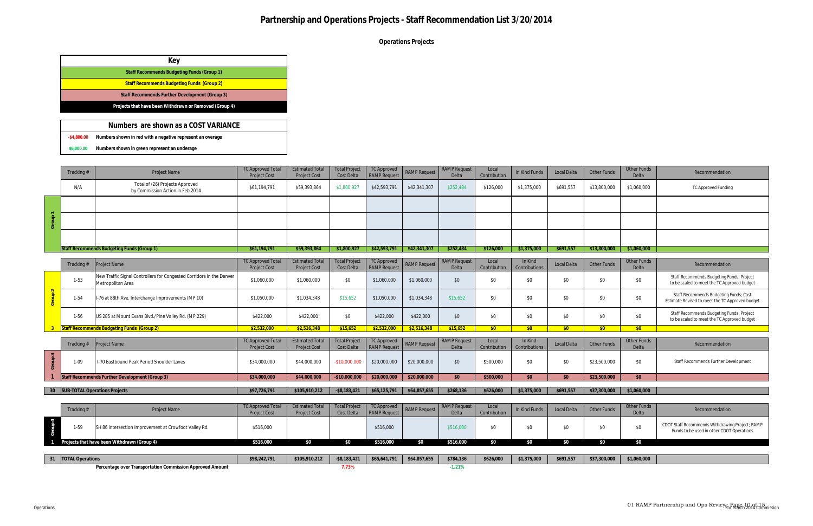**Operations Projects**

**-\$4,800.00 Numbers shown in red with a negative represent an overage**

**\$6,000.00 Numbers shown in green represent an underage**

|         | Tracking#               | <b>Project Name</b>                                                                       | <b>TC Approved Total</b><br><b>Project Cost</b> | <b>Estimated Tota</b><br><b>Project Cost</b> | <b>Total Project</b><br>Cost Delta | <b>TC Approved</b><br><b>RAMP Request</b> | <b>RAMP Request</b> | <b>RAMP</b> Request<br>Delta | Local<br>Contribution | In Kind Funds            | <b>Local Delta</b> | <b>Other Funds</b> | Other Funds<br>Delta        | Recommendation                                                                               |
|---------|-------------------------|-------------------------------------------------------------------------------------------|-------------------------------------------------|----------------------------------------------|------------------------------------|-------------------------------------------|---------------------|------------------------------|-----------------------|--------------------------|--------------------|--------------------|-----------------------------|----------------------------------------------------------------------------------------------|
|         | N/A                     | Total of (26) Projects Approved<br>by Commission Action in Feb 2014                       | \$61,194,791                                    | \$59,393,864                                 | \$1,800,927                        | \$42,593,791                              | \$42,341,307        | \$252,484                    | \$126,000             | \$1,375,000              | \$691,557          | \$13,800,000       | \$1,060,000                 | <b>TC Approved Funding</b>                                                                   |
|         |                         |                                                                                           |                                                 |                                              |                                    |                                           |                     |                              |                       |                          |                    |                    |                             |                                                                                              |
| Group   |                         |                                                                                           |                                                 |                                              |                                    |                                           |                     |                              |                       |                          |                    |                    |                             |                                                                                              |
|         |                         |                                                                                           |                                                 |                                              |                                    |                                           |                     |                              |                       |                          |                    |                    |                             |                                                                                              |
|         |                         | Staff Recommends Budgeting Funds (Group 1)                                                | \$61,194,791                                    | \$59,393,864                                 | \$1,800,927                        | \$42,593,791                              | \$42,341,307        | \$252,484                    | \$126,000             | \$1,375,000              | \$691,557          | \$13,800,000       | \$1,060,000                 |                                                                                              |
|         | Tracking #              | <b>Project Name</b>                                                                       | <b>TC Approved Total</b><br><b>Project Cost</b> | <b>Estimated Tota</b><br><b>Project Cost</b> | <b>Total Project</b><br>Cost Delta | <b>TC Approved</b><br><b>RAMP Request</b> | <b>RAMP Request</b> | <b>RAMP</b> Request<br>Delta | Local<br>Contribution | In Kind<br>Contributions | <b>Local Delta</b> | <b>Other Funds</b> | <b>Other Funds</b><br>Delta | Recommendation                                                                               |
|         | $1 - 53$                | New Traffic Signal Controllers for Congested Corridors in the Denver<br>Metropolitan Area | \$1,060,000                                     | \$1,060,000                                  | \$0                                | \$1,060,000                               | \$1,060,000         | \$0                          | \$0                   | \$0                      | \$0                | \$0                | \$0                         | Staff Recommends Budgeting Funds; Project<br>to be scaled to meet the TC Approved budget     |
|         | $1-54$                  | I-76 at 88th Ave. Interchange Improvements (MP 10)                                        | \$1,050,000                                     | \$1,034,348                                  | \$15,652                           | \$1,050,000                               | \$1,034,348         | \$15,652                     | \$0                   | \$0                      | \$0                | \$0                | \$0                         | Staff Recommends Budgeting Funds; Cost<br>Estimate Revised to meet the TC Approved budget    |
|         | $1-56$                  | US 285 at Mount Evans Blvd./Pine Valley Rd. (MP 229)                                      | \$422,000                                       | \$422,000                                    | \$0                                | \$422,000                                 | \$422,000           | \$0                          | \$0                   | \$0                      | \$0                | \$0                | \$0                         | Staff Recommends Budgeting Funds; Project<br>to be scaled to meet the TC Approved budget     |
|         |                         | taff Recommends Budgeting Funds (Group 2)                                                 | \$2,532,000                                     | \$2,516,348                                  | \$15,652                           | \$2,532,000                               | \$2,516,348         | \$15,652                     | \$0                   | \$0                      | \$0                | \$0                | \$0                         |                                                                                              |
|         | Tracking #              | <b>Project Name</b>                                                                       | <b>TC Approved Total</b>                        | <b>Estimated Total</b>                       | <b>Total Project</b>               | <b>TC Approved</b>                        | <b>RAMP Request</b> | <b>RAMP Request</b>          | Local                 | In Kind                  | <b>Local Delta</b> | <b>Other Funds</b> | <b>Other Funds</b>          | Recommendation                                                                               |
|         |                         |                                                                                           | <b>Project Cost</b>                             | <b>Project Cost</b>                          | Cost Delta                         | <b>RAMP Request</b>                       |                     | Delta                        | Contribution          | Contributions            |                    |                    | Delta                       |                                                                                              |
| Group 3 | $1-09$                  | I-70 Eastbound Peak Period Shoulder Lanes                                                 | \$34,000,000                                    | \$44,000,000                                 | $-$10,000,000$                     | \$20,000,000                              | \$20,000,000        | \$0                          | \$500,000             | \$0                      | \$0                | \$23,500,000       | \$0                         | Staff Recommends Further Development                                                         |
|         |                         | Staff Recommends Further Development (Group 3)                                            | \$34,000,000                                    | \$44,000,000                                 | $-$10,000,000$                     | \$20,000,000                              | \$20,000,000        | \$0                          | \$500,000             | \$0                      | \$0                | \$23,500,000       | \$0                         |                                                                                              |
|         |                         |                                                                                           |                                                 |                                              |                                    |                                           |                     |                              |                       |                          |                    |                    |                             |                                                                                              |
| 30      |                         | SUB-TOTAL Operations Projects                                                             | \$97,726,791                                    | \$105,910,212                                | $-$ \$8,183,421                    | \$65,125,791                              | \$64,857,655        | \$268,136                    | \$626,000             | \$1,375,000              | \$691,557          | \$37,300,000       | \$1,060,000                 |                                                                                              |
|         |                         |                                                                                           |                                                 |                                              |                                    |                                           |                     |                              |                       |                          |                    |                    |                             |                                                                                              |
|         | Tracking#               | <b>Project Name</b>                                                                       | <b>TC Approved Total</b><br><b>Project Cost</b> | <b>Estimated Tota</b><br><b>Project Cost</b> | <b>Total Project</b><br>Cost Delta | <b>TC Approved</b><br><b>RAMP</b> Request | <b>RAMP Request</b> | <b>RAMP</b> Request<br>Delta | Local<br>Contribution | In Kind Funds            | <b>Local Delta</b> | <b>Other Funds</b> | <b>Other Funds</b><br>Delta | Recommendation                                                                               |
| Group 4 | $1 - 59$                | SH 86 Intersection Improvement at Crowfoot Valley Rd.                                     | \$516,000                                       |                                              |                                    | \$516,000                                 |                     | \$516,000                    | \$0                   | \$0                      | \$0                | \$0                | \$0                         | CDOT Staff Recommends Withdrawing Project; RAMP<br>Funds to be used in other CDOT Operations |
|         |                         | Projects that have been Withdrawn (Group 4)                                               | \$516,000                                       | \$0                                          | \$0                                | \$516,000                                 | \$0                 | \$516,000                    | \$0                   | \$0                      | \$0                | \$0                | \$0                         |                                                                                              |
|         |                         |                                                                                           |                                                 |                                              |                                    |                                           |                     |                              |                       |                          |                    |                    |                             |                                                                                              |
| 31      | <b>TOTAL Operations</b> |                                                                                           | \$98,242,791                                    | \$105,910,212                                | $-$ \$8,183,421                    | \$65,641,791                              | \$64,857,655        | \$784,136                    | \$626,000             | \$1,375,000              | \$691,557          | \$37,300,000       | \$1,060,000                 |                                                                                              |

| <b>TOTAL Operations</b>                                   | \$98,242,791 | \$105,910,212 | \$8,183,421    | \$65,641,791 | \$64,857,655 | \$784,136 | \$626,000 | \$1,375,000 | \$691,557 | $AD^*$ |
|-----------------------------------------------------------|--------------|---------------|----------------|--------------|--------------|-----------|-----------|-------------|-----------|--------|
| Percentage over Transportation Commission Approved Amount |              |               | . . <i>.</i> . |              |              | → L.Z L76 |           |             |           |        |

# **Numbers are shown as a COST VARIANCE**

| Kev                                                    |
|--------------------------------------------------------|
| Staff Recommends Budgeting Funds (Group 1)             |
| <b>Staff Recommends Budgeting Funds (Group 2)</b>      |
| Staff Recommends Further Development (Group 3)         |
| Projects that have been Withdrawn or Removed (Group 4) |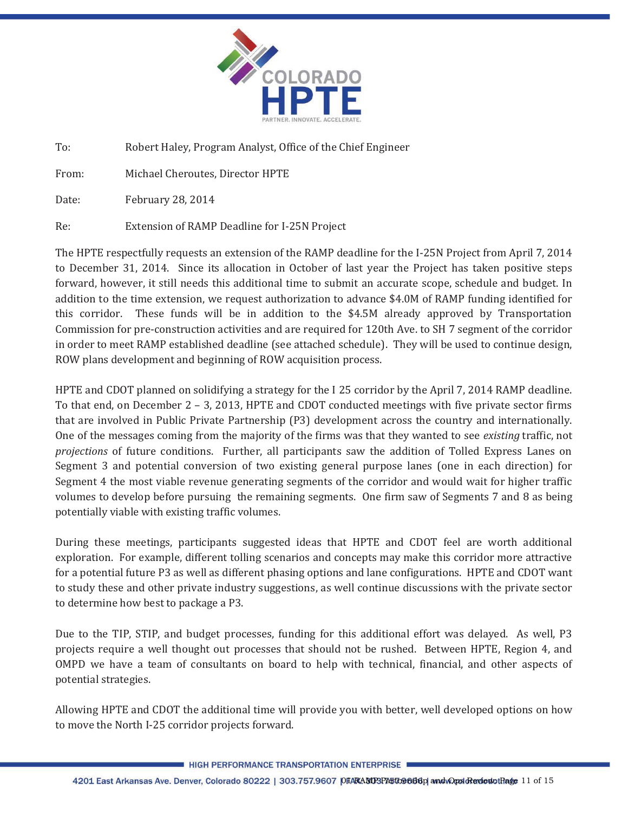

To: Robert Haley, Program Analyst, Office of the Chief Engineer

From: Michael Cheroutes, Director HPTE

Date: February 28, 2014

Re: Extension of RAMP Deadline for I-25N Project

The HPTE respectfully requests an extension of the RAMP deadline for the I-25N Project from April 7, 2014 to December 31, 2014. Since its allocation in October of last year the Project has taken positive steps forward, however, it still needs this additional time to submit an accurate scope, schedule and budget. In addition to the time extension, we request authorization to advance \$4.0M of RAMP funding identified for this corridor. These funds will be in addition to the \$4.5M already approved by Transportation Commission for pre-construction activities and are required for 120th Ave. to SH 7 segment of the corridor in order to meet RAMP established deadline (see attached schedule). They will be used to continue design, ROW plans development and beginning of ROW acquisition process.

HPTE and CDOT planned on solidifying a strategy for the I 25 corridor by the April 7, 2014 RAMP deadline. To that end, on December 2 – 3, 2013, HPTE and CDOT conducted meetings with five private sector firms that are involved in Public Private Partnership (P3) development across the country and internationally. One of the messages coming from the majority of the firms was that they wanted to see *existing* traffic, not *projections* of future conditions. Further, all participants saw the addition of Tolled Express Lanes on Segment 3 and potential conversion of two existing general purpose lanes (one in each direction) for Segment 4 the most viable revenue generating segments of the corridor and would wait for higher traffic volumes to develop before pursuing the remaining segments. One firm saw of Segments 7 and 8 as being potentially viable with existing traffic volumes.

During these meetings, participants suggested ideas that HPTE and CDOT feel are worth additional exploration. For example, different tolling scenarios and concepts may make this corridor more attractive for a potential future P3 as well as different phasing options and lane configurations. HPTE and CDOT want to study these and other private industry suggestions, as well continue discussions with the private sector to determine how best to package a P3.

Due to the TIP, STIP, and budget processes, funding for this additional effort was delayed. As well, P3 projects require a well thought out processes that should not be rushed. Between HPTE, Region 4, and OMPD we have a team of consultants on board to help with technical, financial, and other aspects of potential strategies.

Allowing HPTE and CDOT the additional time will provide you with better, well developed options on how to move the North I-25 corridor projects forward.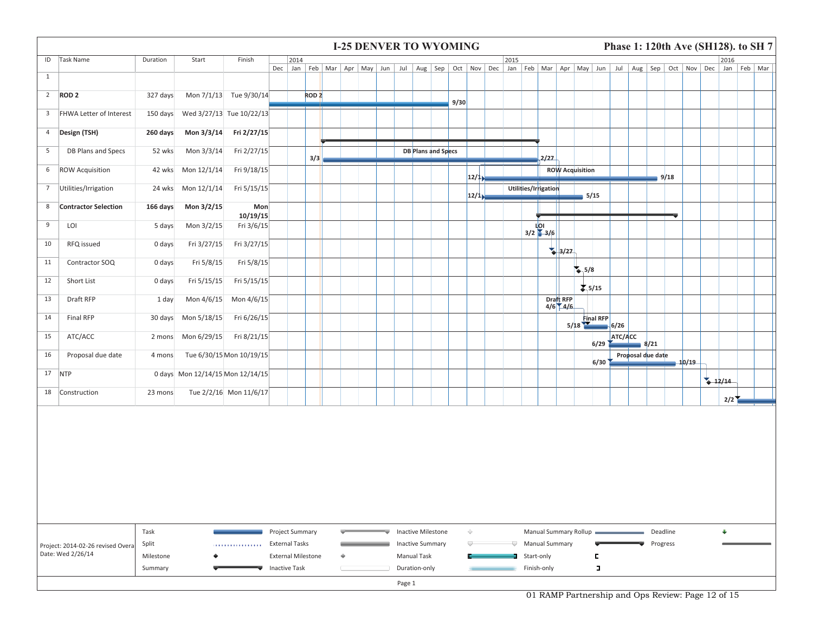| Phase 1: 120th Ave (SH128). to SH 7<br><b>I-25 DENVER TO WYOMING</b> |                                                        |                    |             |                                    |                       |                           |                  |        |   |                                                       |  |  |                                               |      |                                                     |                                                                                                                         |            |                                     |                          |                        |                      |                                     |                   |          |      |                 |  |          |  |  |
|----------------------------------------------------------------------|--------------------------------------------------------|--------------------|-------------|------------------------------------|-----------------------|---------------------------|------------------|--------|---|-------------------------------------------------------|--|--|-----------------------------------------------|------|-----------------------------------------------------|-------------------------------------------------------------------------------------------------------------------------|------------|-------------------------------------|--------------------------|------------------------|----------------------|-------------------------------------|-------------------|----------|------|-----------------|--|----------|--|--|
| ID                                                                   | Task Name                                              | Duration           | Start       | Finish                             |                       | 2014                      |                  |        |   |                                                       |  |  |                                               |      |                                                     | 2015<br>Dec Jan Feb Mar Apr May Jun Jul Aug Sep Oct Nov Dec Jan Feb Mar Apr May Jun Jul Aug Sep Oct Nov Dec Jan Feb Mar |            |                                     |                          |                        |                      |                                     |                   |          |      |                 |  | 2016     |  |  |
| $\mathbf{1}$                                                         |                                                        |                    |             |                                    |                       |                           |                  |        |   |                                                       |  |  |                                               |      |                                                     |                                                                                                                         |            |                                     |                          |                        |                      |                                     |                   |          |      |                 |  |          |  |  |
| 2                                                                    | ROD <sub>2</sub>                                       | 327 days           |             | Mon 7/1/13 Tue 9/30/14             |                       |                           | ROD <sub>2</sub> |        |   |                                                       |  |  |                                               | 9/30 |                                                     |                                                                                                                         |            |                                     |                          |                        |                      |                                     |                   |          |      |                 |  |          |  |  |
| $\overline{\mathbf{3}}$                                              | FHWA Letter of Interest                                | 150 days           |             | Wed 3/27/13 Tue 10/22/13           |                       |                           |                  |        |   |                                                       |  |  |                                               |      |                                                     |                                                                                                                         |            |                                     |                          |                        |                      |                                     |                   |          |      |                 |  |          |  |  |
| $\overline{4}$                                                       | Design (TSH)                                           | 260 days           | Mon 3/3/14  | Fri 2/27/15                        |                       |                           |                  |        |   |                                                       |  |  |                                               |      |                                                     |                                                                                                                         |            |                                     |                          |                        |                      |                                     |                   |          |      |                 |  |          |  |  |
| 5                                                                    | DB Plans and Specs                                     | 52 wks             | Mon 3/3/14  | Fri 2/27/15                        |                       |                           | 3/3              |        |   |                                                       |  |  | DB Plans and Specs                            |      |                                                     |                                                                                                                         |            | 2/27                                |                          |                        |                      |                                     |                   |          |      |                 |  |          |  |  |
| 6                                                                    | <b>ROW Acquisition</b>                                 | 42 wks             | Mon 12/1/14 | Fri 9/18/15                        |                       |                           |                  |        |   |                                                       |  |  |                                               |      | 12/1                                                |                                                                                                                         |            |                                     |                          | <b>ROW Acquisition</b> |                      |                                     |                   |          | 9/18 |                 |  |          |  |  |
| $7\overline{ }$                                                      | Utilities/Irrigation                                   | 24 wks             | Mon 12/1/14 | Fri 5/15/15                        |                       |                           |                  |        |   |                                                       |  |  |                                               |      | 12/1                                                |                                                                                                                         |            | Utilities/Irrigation                |                          |                        | 15/15                |                                     |                   |          |      |                 |  |          |  |  |
| 8                                                                    | <b>Contractor Selection</b>                            | 166 days           | Mon 3/2/15  | Mon                                |                       |                           |                  |        |   |                                                       |  |  |                                               |      |                                                     |                                                                                                                         |            |                                     |                          |                        |                      |                                     |                   |          |      |                 |  |          |  |  |
| 9                                                                    | LOI                                                    | 5 days             | Mon 3/2/15  | 10/19/15<br>Fri 3/6/15             |                       |                           |                  |        |   |                                                       |  |  |                                               |      |                                                     |                                                                                                                         |            | $\frac{10!}{3/2\left 1,3/6\right }$ |                          |                        |                      |                                     |                   |          |      |                 |  |          |  |  |
| 10                                                                   | RFQ issued                                             | 0 days             | Fri 3/27/15 | Fri 3/27/15                        |                       |                           |                  |        |   |                                                       |  |  |                                               |      |                                                     |                                                                                                                         |            |                                     | $\frac{1}{2}3/27$        |                        |                      |                                     |                   |          |      |                 |  |          |  |  |
| 11                                                                   | Contractor SOQ                                         | 0 days             | Fri 5/8/15  | Fri 5/8/15                         |                       |                           |                  |        |   |                                                       |  |  |                                               |      |                                                     |                                                                                                                         |            |                                     |                          | $\frac{1}{2}$ 5/8      |                      |                                     |                   |          |      |                 |  |          |  |  |
| 12                                                                   | Short List                                             | 0 days             | Fri 5/15/15 | Fri 5/15/15                        |                       |                           |                  |        |   |                                                       |  |  |                                               |      |                                                     |                                                                                                                         |            |                                     |                          |                        | $\frac{1}{2}$ , 5/15 |                                     |                   |          |      |                 |  |          |  |  |
| 13                                                                   | Draft RFP                                              | 1 day              | Mon 4/6/15  | Mon 4/6/15                         |                       |                           |                  |        |   |                                                       |  |  |                                               |      |                                                     |                                                                                                                         |            |                                     | Draft RFP<br>$4/6$ $4/6$ |                        |                      |                                     |                   |          |      |                 |  |          |  |  |
| 14                                                                   | Final RFP                                              | 30 days            | Mon 5/18/15 | Fri 6/26/15                        |                       |                           |                  |        |   |                                                       |  |  |                                               |      |                                                     |                                                                                                                         |            |                                     |                          | $5/18$ Final RFP       |                      |                                     |                   |          |      |                 |  |          |  |  |
| 15                                                                   | ATC/ACC                                                | 2 mons             | Mon 6/29/15 | Fri 8/21/15                        |                       |                           |                  |        |   |                                                       |  |  |                                               |      |                                                     |                                                                                                                         |            |                                     |                          |                        |                      | $\overline{6/26}$<br><b>ATC/ACC</b> | $\frac{1}{8/21}$  |          |      |                 |  |          |  |  |
| 16                                                                   | Proposal due date                                      | 4 mons             |             | Tue 6/30/15 Mon 10/19/15           |                       |                           |                  |        |   |                                                       |  |  |                                               |      |                                                     |                                                                                                                         |            |                                     |                          |                        | $6/29$ $\equiv$      |                                     | Proposal due date |          |      |                 |  |          |  |  |
|                                                                      | 17 NTP                                                 |                    |             | 0 days  Mon 12/14/15  Mon 12/14/15 |                       |                           |                  |        |   |                                                       |  |  |                                               |      |                                                     |                                                                                                                         |            |                                     |                          |                        | 6/30                 |                                     |                   |          |      | <u>, 10/19 </u> |  |          |  |  |
| 18                                                                   | Construction                                           | 23 mons            |             | Tue 2/2/16 Mon 11/6/17             |                       |                           |                  |        |   |                                                       |  |  |                                               |      |                                                     |                                                                                                                         |            |                                     |                          |                        |                      |                                     |                   |          |      |                 |  | $+12/14$ |  |  |
|                                                                      |                                                        |                    |             |                                    |                       |                           |                  |        |   |                                                       |  |  |                                               |      |                                                     |                                                                                                                         |            |                                     |                          |                        |                      |                                     |                   |          |      |                 |  | 2/2      |  |  |
|                                                                      |                                                        |                    |             |                                    |                       |                           |                  |        |   |                                                       |  |  |                                               |      |                                                     |                                                                                                                         |            |                                     |                          |                        |                      |                                     |                   |          |      |                 |  |          |  |  |
|                                                                      |                                                        |                    |             |                                    |                       |                           |                  |        |   |                                                       |  |  |                                               |      |                                                     |                                                                                                                         |            |                                     |                          |                        |                      |                                     |                   |          |      |                 |  |          |  |  |
|                                                                      |                                                        |                    |             |                                    |                       |                           |                  |        |   |                                                       |  |  |                                               |      |                                                     |                                                                                                                         |            |                                     |                          |                        |                      |                                     |                   |          |      |                 |  |          |  |  |
|                                                                      |                                                        |                    |             |                                    |                       |                           |                  |        |   |                                                       |  |  |                                               |      |                                                     |                                                                                                                         |            |                                     |                          |                        |                      |                                     |                   |          |      |                 |  |          |  |  |
|                                                                      |                                                        |                    |             |                                    |                       |                           |                  |        |   |                                                       |  |  |                                               |      |                                                     |                                                                                                                         |            |                                     |                          |                        |                      |                                     |                   |          |      |                 |  |          |  |  |
|                                                                      |                                                        |                    |             |                                    |                       |                           |                  |        |   |                                                       |  |  |                                               |      |                                                     |                                                                                                                         |            |                                     |                          |                        |                      |                                     |                   |          |      |                 |  |          |  |  |
|                                                                      |                                                        | Task               |             |                                    | Project Summary       |                           |                  |        |   | $\overline{\phantom{a}}$ and $\overline{\phantom{a}}$ |  |  | <b>Inactive Milestone</b>                     |      | $\begin{array}{c} \diamond \\ \diamond \end{array}$ |                                                                                                                         |            | Manual Summary Rollup               |                          |                        | Deadline             |                                     |                   | ⊕        |      |                 |  |          |  |  |
|                                                                      | Project: 2014-02-26 revised Overa<br>Date: Wed 2/26/14 | Split<br>Milestone |             |                                    | <b>External Tasks</b> | <b>External Milestone</b> |                  |        | ♦ |                                                       |  |  | <b>Inactive Summary</b><br><b>Manual Task</b> |      | ▽                                                   | ≂                                                                                                                       | Start-only | <b>Manual Summary</b>               |                          |                        | с                    |                                     |                   | Progress |      |                 |  |          |  |  |
|                                                                      |                                                        | Summary            |             |                                    | <b>Inactive Task</b>  |                           |                  |        |   |                                                       |  |  | Duration-only                                 |      |                                                     |                                                                                                                         |            | Finish-only                         |                          |                        | П                    |                                     |                   |          |      |                 |  |          |  |  |
|                                                                      |                                                        |                    |             |                                    |                       |                           |                  | Page 1 |   |                                                       |  |  |                                               |      |                                                     |                                                                                                                         |            |                                     |                          |                        |                      |                                     |                   |          |      |                 |  |          |  |  |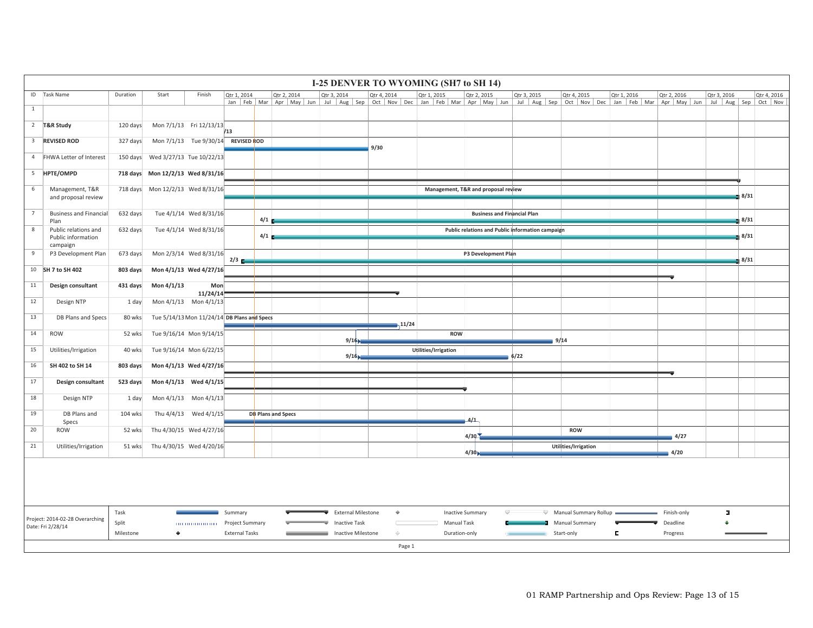|                | I-25 DENVER TO WYOMING (SH7 to SH 14) |           |                          |                                             |                       |     |                    |                           |                                                                                                                                             |                      |                                     |                                                  |                            |             |             |             |      |             |
|----------------|---------------------------------------|-----------|--------------------------|---------------------------------------------|-----------------------|-----|--------------------|---------------------------|---------------------------------------------------------------------------------------------------------------------------------------------|----------------------|-------------------------------------|--------------------------------------------------|----------------------------|-------------|-------------|-------------|------|-------------|
|                | ID Task Name                          | Duration  | Start                    | Finish                                      | Qtr 1, 2014           |     | Qtr 2, 2014        | Qtr 3, 2014               | Qtr 4, 2014                                                                                                                                 | Qtr 1, 2015          | Qtr 2, 2015                         | Qtr 3, 2015                                      | Qtr 4, 2015                | Qtr 1, 2016 | Qtr 2, 2016 | Qtr 3, 2016 |      | Qtr 4, 2016 |
| 1              |                                       |           |                          |                                             |                       |     |                    |                           | Jan Feb Mar Apr May Jun Jul Aug Sep Oct Nov Dec Jan Feb Mar Apr May Jun Jul Aug Sep Oct Nov Dec Jan Feb Mar Apr May Jun Jul Aug Sep Oct Nov |                      |                                     |                                                  |                            |             |             |             |      |             |
|                | 2 T&R Study                           | 120 days  |                          | Mon 7/1/13 Fri 12/13/13                     |                       |     |                    |                           |                                                                                                                                             |                      |                                     |                                                  |                            |             |             |             |      |             |
|                | 3 REVISED ROD                         | 327 days  |                          | Mon 7/1/13 Tue 9/30/14 REVISED ROD          | /13                   |     |                    |                           |                                                                                                                                             |                      |                                     |                                                  |                            |             |             |             |      |             |
|                |                                       |           |                          |                                             |                       |     |                    |                           | 9/30                                                                                                                                        |                      |                                     |                                                  |                            |             |             |             |      |             |
|                | 4 FHWA Letter of Interest             | 150 days  | Wed 3/27/13 Tue 10/22/13 |                                             |                       |     |                    |                           |                                                                                                                                             |                      |                                     |                                                  |                            |             |             |             |      |             |
|                | 5 HPTE/OMPD                           |           |                          |                                             |                       |     |                    |                           |                                                                                                                                             |                      |                                     |                                                  |                            |             |             |             |      |             |
| 6              | Management, T&R                       | 718 days  | Mon 12/2/13 Wed 8/31/16  |                                             |                       |     |                    |                           |                                                                                                                                             |                      | Management, T&R and proposal review |                                                  |                            |             |             |             |      |             |
|                | and proposal review                   |           |                          |                                             |                       |     |                    |                           |                                                                                                                                             |                      |                                     |                                                  |                            |             |             |             | 8/31 |             |
| $\overline{7}$ | <b>Business and Financial</b>         | 632 days  |                          | Tue 4/1/14 Wed 8/31/16                      |                       | 4/1 |                    |                           |                                                                                                                                             |                      | <b>Business and Financial Plan</b>  |                                                  |                            |             |             |             | 8/31 |             |
| 8              | Plan<br>Public relations and          | 632 days  |                          | Tue 4/1/14 Wed 8/31/16                      |                       |     |                    |                           |                                                                                                                                             |                      |                                     | Public relations and Public information campaign |                            |             |             |             |      |             |
|                | Public information                    |           |                          |                                             |                       | 4/1 |                    |                           |                                                                                                                                             |                      |                                     |                                                  |                            |             |             |             | 8/31 |             |
| 9              | campaign<br>P3 Development Plan       | 673 days  |                          | Mon 2/3/14 Wed 8/31/16                      |                       |     |                    |                           |                                                                                                                                             |                      | P3 Development Plan                 |                                                  |                            |             |             |             |      |             |
|                |                                       |           |                          |                                             | 2/3                   |     |                    |                           |                                                                                                                                             |                      |                                     |                                                  |                            |             |             |             | 8/31 |             |
|                | 10 SH 7 to SH 402                     | 803 days  |                          | Mon 4/1/13 Wed 4/27/16                      |                       |     |                    |                           |                                                                                                                                             |                      |                                     |                                                  |                            |             |             |             |      |             |
| 11             | Design consultant                     | 431 days  | Mon 4/1/13               | Mon<br>11/24/14                             |                       |     |                    |                           |                                                                                                                                             |                      |                                     |                                                  |                            |             |             |             |      |             |
| 12             | Design NTP                            | 1 day     |                          | Mon 4/1/13 Mon 4/1/13                       |                       |     |                    |                           |                                                                                                                                             |                      |                                     |                                                  |                            |             |             |             |      |             |
| 13             | DB Plans and Specs                    | 80 wks    |                          | Tue 5/14/13 Mon 11/24/14 DB Plans and Specs |                       |     |                    |                           | $-11/24$                                                                                                                                    |                      |                                     |                                                  |                            |             |             |             |      |             |
| 14             | ROW                                   | 52 wks    |                          | Tue 9/16/14 Mon 9/14/15                     |                       |     |                    |                           |                                                                                                                                             | ROW                  |                                     |                                                  |                            |             |             |             |      |             |
| 15             | Utilities/Irrigation                  | 40 wks    |                          | Tue 9/16/14 Mon 6/22/15                     |                       |     |                    | 9/16                      |                                                                                                                                             | Utilities/Irrigation |                                     | $-9/14$                                          |                            |             |             |             |      |             |
| 16             |                                       |           |                          |                                             |                       |     |                    | 9/16                      |                                                                                                                                             |                      |                                     | 6/22                                             |                            |             |             |             |      |             |
|                | SH 402 to SH 14                       | 803 days  |                          | Mon 4/1/13 Wed 4/27/16                      |                       |     |                    |                           |                                                                                                                                             |                      |                                     |                                                  |                            |             |             |             |      |             |
| 17             | Design consultant                     | 523 days  |                          | Mon 4/1/13 Wed 4/1/15                       |                       |     |                    |                           |                                                                                                                                             |                      |                                     |                                                  |                            |             |             |             |      |             |
| 18             | Design NTP                            | 1 day     |                          | Mon 4/1/13 Mon 4/1/13                       |                       |     |                    |                           |                                                                                                                                             |                      |                                     |                                                  |                            |             |             |             |      |             |
| 19             | DB Plans and<br>Specs                 | 104 wks   |                          | Thu 4/4/13 Wed 4/1/15                       |                       |     | DB Plans and Specs |                           |                                                                                                                                             |                      | 4/1                                 |                                                  |                            |             |             |             |      |             |
| 20             | <b>ROW</b>                            | 52 wks    |                          | Thu 4/30/15 Wed 4/27/16                     |                       |     |                    |                           |                                                                                                                                             |                      | 4/30                                |                                                  | <b>ROW</b>                 |             | 4/27        |             |      |             |
| 21             | Utilities/Irrigation                  | 51 wks    |                          | Thu 4/30/15 Wed 4/20/16                     |                       |     |                    |                           |                                                                                                                                             |                      | 4/30                                |                                                  | Utilities/Irrigation       |             | 4/20        |             |      |             |
|                |                                       |           |                          |                                             |                       |     |                    |                           |                                                                                                                                             |                      |                                     |                                                  |                            |             |             |             |      |             |
|                |                                       |           |                          |                                             |                       |     |                    |                           |                                                                                                                                             |                      |                                     |                                                  |                            |             |             |             |      |             |
|                |                                       |           |                          |                                             |                       |     |                    |                           |                                                                                                                                             |                      |                                     |                                                  |                            |             |             |             |      |             |
|                |                                       |           |                          |                                             |                       |     |                    |                           |                                                                                                                                             |                      |                                     |                                                  |                            |             |             |             |      |             |
|                |                                       | Task      |                          |                                             | Summary               |     |                    | <b>External Milestone</b> | $\Diamond$                                                                                                                                  |                      | <b>Inactive Summary</b>             |                                                  | Manual Summary Rollup      |             | Finish-only | П           |      |             |
|                | Project: 2014-02-28 Overarching       | Split     |                          | manummanum Project Summary                  |                       |     |                    | <b>Inactive Task</b>      |                                                                                                                                             | <b>Manual Task</b>   |                                     | Manual Summary                                   | $\overline{a}$<br>Deadline |             |             |             |      |             |
|                | Date: Fri 2/28/14                     | Milestone | ٠                        |                                             | <b>External Tasks</b> |     |                    | Inactive Milestone        | $\Diamond$                                                                                                                                  | Duration-only        |                                     |                                                  | Start-only                 | E.          | Progress    |             |      |             |
|                |                                       |           |                          |                                             |                       |     |                    |                           | Page 1                                                                                                                                      |                      |                                     |                                                  |                            |             |             |             |      |             |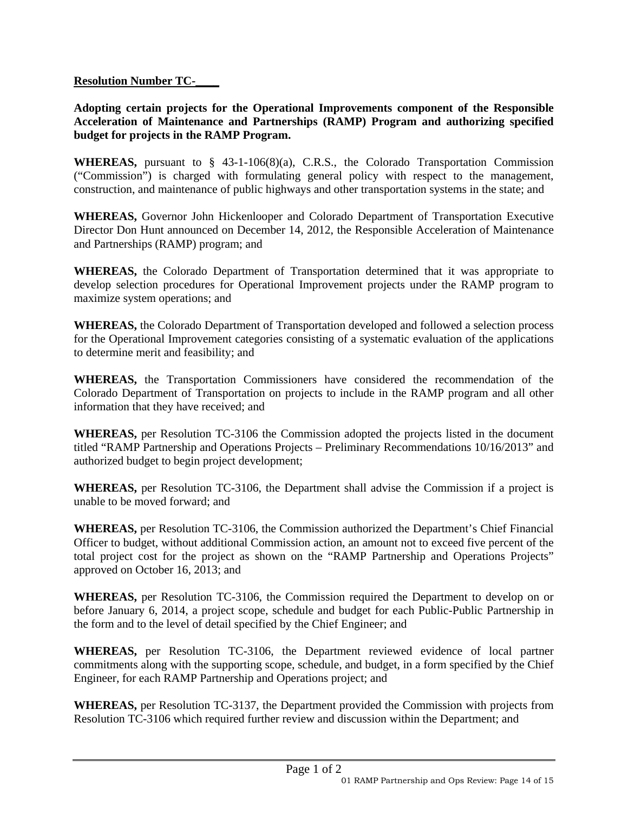## **Resolution Number TC-**

**Adopting certain projects for the Operational Improvements component of the Responsible Acceleration of Maintenance and Partnerships (RAMP) Program and authorizing specified budget for projects in the RAMP Program.** 

**WHEREAS,** pursuant to § 43-1-106(8)(a), C.R.S., the Colorado Transportation Commission ("Commission") is charged with formulating general policy with respect to the management, construction, and maintenance of public highways and other transportation systems in the state; and

**WHEREAS,** Governor John Hickenlooper and Colorado Department of Transportation Executive Director Don Hunt announced on December 14, 2012, the Responsible Acceleration of Maintenance and Partnerships (RAMP) program; and

**WHEREAS,** the Colorado Department of Transportation determined that it was appropriate to develop selection procedures for Operational Improvement projects under the RAMP program to maximize system operations; and

**WHEREAS,** the Colorado Department of Transportation developed and followed a selection process for the Operational Improvement categories consisting of a systematic evaluation of the applications to determine merit and feasibility; and

**WHEREAS,** the Transportation Commissioners have considered the recommendation of the Colorado Department of Transportation on projects to include in the RAMP program and all other information that they have received; and

**WHEREAS,** per Resolution TC-3106 the Commission adopted the projects listed in the document titled "RAMP Partnership and Operations Projects – Preliminary Recommendations 10/16/2013" and authorized budget to begin project development;

**WHEREAS,** per Resolution TC-3106, the Department shall advise the Commission if a project is unable to be moved forward; and

**WHEREAS,** per Resolution TC-3106, the Commission authorized the Department's Chief Financial Officer to budget, without additional Commission action, an amount not to exceed five percent of the total project cost for the project as shown on the "RAMP Partnership and Operations Projects" approved on October 16, 2013; and

**WHEREAS,** per Resolution TC-3106, the Commission required the Department to develop on or before January 6, 2014, a project scope, schedule and budget for each Public-Public Partnership in the form and to the level of detail specified by the Chief Engineer; and

**WHEREAS,** per Resolution TC-3106, the Department reviewed evidence of local partner commitments along with the supporting scope, schedule, and budget, in a form specified by the Chief Engineer, for each RAMP Partnership and Operations project; and

**WHEREAS,** per Resolution TC-3137, the Department provided the Commission with projects from Resolution TC-3106 which required further review and discussion within the Department; and